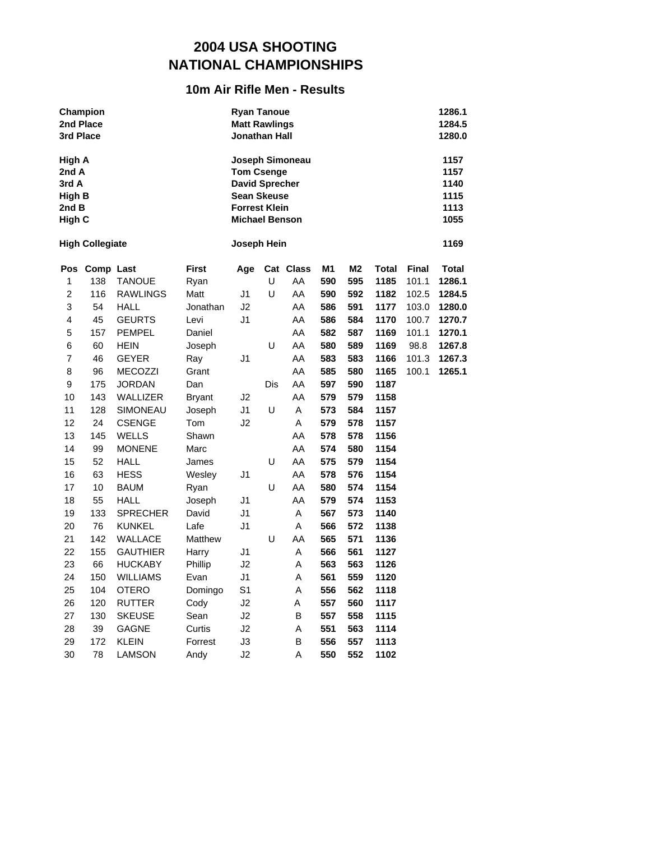### **10m Air Rifle Men - Results**

| 3rd Place                                                    | Champion<br>2nd Place  |                             |               | <b>Ryan Tanoue</b><br><b>Matt Rawlings</b><br>Jonathan Hall                                                       |     |                 |            |                       |                      |                | 1286.1<br>1284.5<br>1280.0                   |
|--------------------------------------------------------------|------------------------|-----------------------------|---------------|-------------------------------------------------------------------------------------------------------------------|-----|-----------------|------------|-----------------------|----------------------|----------------|----------------------------------------------|
| High A<br>2nd A<br>3rd A<br><b>High B</b><br>2nd B<br>High C |                        |                             |               | <b>Tom Csenge</b><br><b>David Sprecher</b><br><b>Sean Skeuse</b><br><b>Forrest Klein</b><br><b>Michael Benson</b> |     | Joseph Simoneau |            |                       |                      |                | 1157<br>1157<br>1140<br>1115<br>1113<br>1055 |
|                                                              | <b>High Collegiate</b> |                             |               | Joseph Hein                                                                                                       |     |                 |            |                       |                      |                | 1169                                         |
| 1                                                            | Pos Comp Last<br>138   | <b>TANOUE</b>               | First<br>Ryan | Age                                                                                                               | U   | Cat Class<br>AA | M1<br>590  | M <sub>2</sub><br>595 | <b>Total</b><br>1185 | Final<br>101.1 | <b>Total</b><br>1286.1                       |
| $\overline{c}$                                               | 116                    | <b>RAWLINGS</b>             | Matt          | J1                                                                                                                | U   | AA              | 590        | 592                   | 1182                 | 102.5          | 1284.5                                       |
| 3                                                            | 54                     | <b>HALL</b>                 | Jonathan      | J2                                                                                                                |     | AA              | 586        | 591                   | 1177                 | 103.0          | 1280.0                                       |
| 4                                                            | 45                     | <b>GEURTS</b>               | Levi          | J <sub>1</sub>                                                                                                    |     | AA              | 586        | 584                   | 1170                 | 100.7          | 1270.7                                       |
| 5<br>6                                                       | 157                    | <b>PEMPEL</b>               | Daniel        |                                                                                                                   | U   | AA<br>AA        | 582<br>580 | 587<br>589            | 1169<br>1169         | 101.1          | 1270.1                                       |
| 7                                                            | 60<br>46               | <b>HEIN</b><br><b>GEYER</b> | Joseph<br>Ray | J <sub>1</sub>                                                                                                    |     | AA              | 583        | 583                   | 1166                 | 98.8<br>101.3  | 1267.8<br>1267.3                             |
| 8                                                            | 96                     | <b>MECOZZI</b>              | Grant         |                                                                                                                   |     | AA              | 585        | 580                   | 1165                 | 100.1          | 1265.1                                       |
| 9                                                            | 175                    | <b>JORDAN</b>               | Dan           |                                                                                                                   | Dis | AA              | 597        | 590                   | 1187                 |                |                                              |
| 10                                                           | 143                    | WALLIZER                    | <b>Bryant</b> | J2                                                                                                                |     | AA              | 579        | 579                   | 1158                 |                |                                              |
| 11                                                           | 128                    | SIMONEAU                    | Joseph        | J1                                                                                                                | U   | Α               | 573        | 584                   | 1157                 |                |                                              |
| 12                                                           | 24                     | <b>CSENGE</b>               | Tom           | J2                                                                                                                |     | A               | 579        | 578                   | 1157                 |                |                                              |
| 13                                                           | 145                    | WELLS                       | Shawn         |                                                                                                                   |     | AA              | 578        | 578                   | 1156                 |                |                                              |
| 14                                                           | 99                     | <b>MONENE</b>               | Marc          |                                                                                                                   |     | AA              | 574        | 580                   | 1154                 |                |                                              |
| 15                                                           | 52                     | <b>HALL</b>                 | James         |                                                                                                                   | U   | AA              | 575        | 579                   | 1154                 |                |                                              |
| 16                                                           | 63                     | <b>HESS</b>                 | Wesley        | J1                                                                                                                |     | AA              | 578        | 576                   | 1154                 |                |                                              |
| 17                                                           | 10                     | BAUM                        | Ryan          |                                                                                                                   | U   | AA              | 580        | 574                   | 1154                 |                |                                              |
| 18                                                           | 55                     | <b>HALL</b>                 | Joseph        | J1                                                                                                                |     | AA              | 579        | 574                   | 1153                 |                |                                              |
| 19                                                           | 133                    | <b>SPRECHER</b>             | David         | J1                                                                                                                |     | Α               | 567        | 573                   | 1140                 |                |                                              |
| 20                                                           | 76                     | <b>KUNKEL</b>               | Lafe          | J1                                                                                                                |     | Α               | 566        | 572                   | 1138                 |                |                                              |
| 21                                                           | 142                    | <b>WALLACE</b>              | Matthew       |                                                                                                                   | U   | AA              | 565        | 571                   | 1136                 |                |                                              |
| 22                                                           | 155                    | <b>GAUTHIER</b>             | Harry         | J1                                                                                                                |     | Α               | 566        | 561                   | 1127                 |                |                                              |
| 23                                                           | 66                     | <b>HUCKABY</b>              | Phillip       | J2                                                                                                                |     | Α               | 563        | 563                   | 1126                 |                |                                              |
| 24                                                           | 150                    | <b>WILLIAMS</b>             | Evan          | J1<br>S <sub>1</sub>                                                                                              |     | A               | 561        | 559                   | 1120                 |                |                                              |
| 25<br>26                                                     | 104<br>120             | <b>OTERO</b>                | Domingo       |                                                                                                                   |     | Α<br>Α          | 556<br>557 | 562<br>560            | 1118<br>1117         |                |                                              |
| 27                                                           | 130                    | RUTTER<br><b>SKEUSE</b>     | Cody<br>Sean  | J2<br>J2                                                                                                          |     | B               | 557        | 558                   | 1115                 |                |                                              |
| 28                                                           | 39                     | <b>GAGNE</b>                | Curtis        | J2                                                                                                                |     | Α               | 551        | 563                   | 1114                 |                |                                              |
| 29                                                           | 172                    | KLEIN                       | Forrest       | J3                                                                                                                |     | B               | 556        | 557                   | 1113                 |                |                                              |
| 30                                                           | 78                     | <b>LAMSON</b>               | Andy          | J2                                                                                                                |     | Α               | 550        | 552                   | 1102                 |                |                                              |
|                                                              |                        |                             |               |                                                                                                                   |     |                 |            |                       |                      |                |                                              |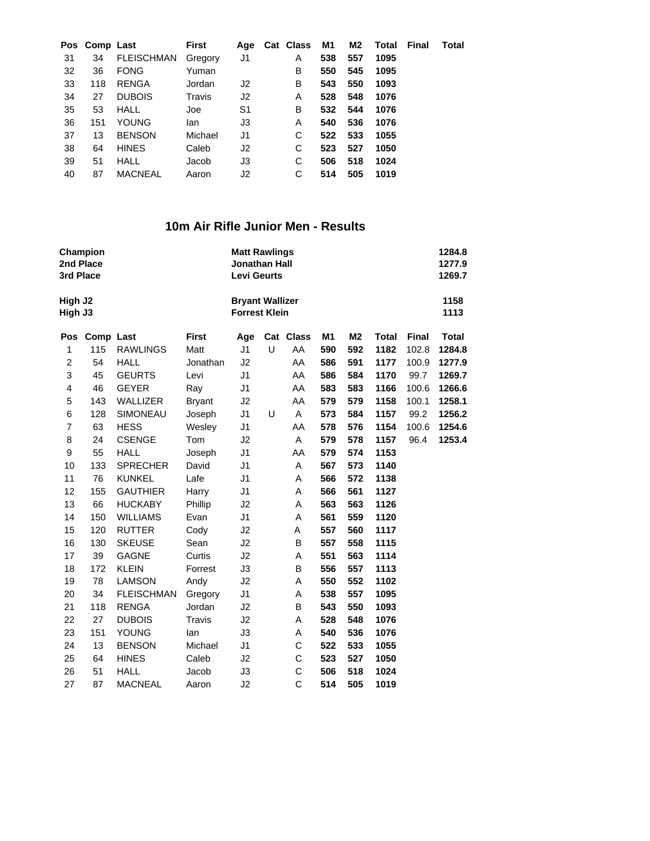|    | Pos Comp Last |                   | First   |    | Age Cat Class | M1  | M2  | Total Final | Total |
|----|---------------|-------------------|---------|----|---------------|-----|-----|-------------|-------|
| 31 | 34            | <b>FLEISCHMAN</b> | Gregory | J1 | A             | 538 | 557 | 1095        |       |
| 32 | 36            | <b>FONG</b>       | Yuman   |    | в             | 550 | 545 | 1095        |       |
| 33 | 118           | <b>RENGA</b>      | Jordan  | J2 | в             | 543 | 550 | 1093        |       |
| 34 | 27            | <b>DUBOIS</b>     | Travis  | J2 | A             | 528 | 548 | 1076        |       |
| 35 | 53            | <b>HALL</b>       | Joe     | S1 | В             | 532 | 544 | 1076        |       |
| 36 | 151           | <b>YOUNG</b>      | lan     | J3 | A             | 540 | 536 | 1076        |       |
| 37 | 13            | <b>BENSON</b>     | Michael | J1 | С             | 522 | 533 | 1055        |       |
| 38 | 64            | <b>HINES</b>      | Caleb   | J2 | C             | 523 | 527 | 1050        |       |
| 39 | 51            | <b>HALL</b>       | Jacob   | J3 | C             | 506 | 518 | 1024        |       |
| 40 | 87            | <b>MACNEAL</b>    | Aaron   | J2 | С             | 514 | 505 | 1019        |       |
|    |               |                   |         |    |               |     |     |             |       |

### **10m Air Rifle Junior Men - Results**

| Champion |                                                                                                                                                                                                                          |                                                                                                                                                                                                                                                                                                                                                                                                                                          |                                                                                                                                                                                                                                      |                                                                                                                                                                                                                                                    |        |                                                                                                                                                                                                                                                                                                                |                                                                                                                                                                             |                                                                                                                                                                             |                                                                                                                                                                                                      | 1284.8<br>1277.9<br>1269.7                      |
|----------|--------------------------------------------------------------------------------------------------------------------------------------------------------------------------------------------------------------------------|------------------------------------------------------------------------------------------------------------------------------------------------------------------------------------------------------------------------------------------------------------------------------------------------------------------------------------------------------------------------------------------------------------------------------------------|--------------------------------------------------------------------------------------------------------------------------------------------------------------------------------------------------------------------------------------|----------------------------------------------------------------------------------------------------------------------------------------------------------------------------------------------------------------------------------------------------|--------|----------------------------------------------------------------------------------------------------------------------------------------------------------------------------------------------------------------------------------------------------------------------------------------------------------------|-----------------------------------------------------------------------------------------------------------------------------------------------------------------------------|-----------------------------------------------------------------------------------------------------------------------------------------------------------------------------|------------------------------------------------------------------------------------------------------------------------------------------------------------------------------------------------------|-------------------------------------------------|
|          |                                                                                                                                                                                                                          |                                                                                                                                                                                                                                                                                                                                                                                                                                          |                                                                                                                                                                                                                                      |                                                                                                                                                                                                                                                    |        |                                                                                                                                                                                                                                                                                                                |                                                                                                                                                                             |                                                                                                                                                                             |                                                                                                                                                                                                      | 1158<br>1113                                    |
|          |                                                                                                                                                                                                                          | <b>First</b>                                                                                                                                                                                                                                                                                                                                                                                                                             | Age                                                                                                                                                                                                                                  |                                                                                                                                                                                                                                                    |        | M <sub>1</sub>                                                                                                                                                                                                                                                                                                 | M <sub>2</sub>                                                                                                                                                              | <b>Total</b>                                                                                                                                                                | <b>Final</b>                                                                                                                                                                                         | <b>Total</b>                                    |
| 115      | <b>RAWLINGS</b>                                                                                                                                                                                                          | Matt                                                                                                                                                                                                                                                                                                                                                                                                                                     | J1                                                                                                                                                                                                                                   |                                                                                                                                                                                                                                                    | AA     | 590                                                                                                                                                                                                                                                                                                            | 592                                                                                                                                                                         | 1182                                                                                                                                                                        | 102.8                                                                                                                                                                                                | 1284.8                                          |
| 54       | <b>HALL</b>                                                                                                                                                                                                              |                                                                                                                                                                                                                                                                                                                                                                                                                                          | J2                                                                                                                                                                                                                                   |                                                                                                                                                                                                                                                    | AA     | 586                                                                                                                                                                                                                                                                                                            | 591                                                                                                                                                                         | 1177                                                                                                                                                                        | 100.9                                                                                                                                                                                                | 1277.9                                          |
|          |                                                                                                                                                                                                                          | Levi                                                                                                                                                                                                                                                                                                                                                                                                                                     |                                                                                                                                                                                                                                      |                                                                                                                                                                                                                                                    |        |                                                                                                                                                                                                                                                                                                                |                                                                                                                                                                             |                                                                                                                                                                             |                                                                                                                                                                                                      | 1269.7                                          |
|          |                                                                                                                                                                                                                          | Ray                                                                                                                                                                                                                                                                                                                                                                                                                                      |                                                                                                                                                                                                                                      |                                                                                                                                                                                                                                                    |        |                                                                                                                                                                                                                                                                                                                |                                                                                                                                                                             |                                                                                                                                                                             |                                                                                                                                                                                                      | 1266.6                                          |
|          |                                                                                                                                                                                                                          |                                                                                                                                                                                                                                                                                                                                                                                                                                          |                                                                                                                                                                                                                                      |                                                                                                                                                                                                                                                    |        |                                                                                                                                                                                                                                                                                                                |                                                                                                                                                                             |                                                                                                                                                                             |                                                                                                                                                                                                      | 1258.1                                          |
|          |                                                                                                                                                                                                                          |                                                                                                                                                                                                                                                                                                                                                                                                                                          |                                                                                                                                                                                                                                      |                                                                                                                                                                                                                                                    |        |                                                                                                                                                                                                                                                                                                                |                                                                                                                                                                             |                                                                                                                                                                             |                                                                                                                                                                                                      | 1256.2                                          |
|          |                                                                                                                                                                                                                          |                                                                                                                                                                                                                                                                                                                                                                                                                                          |                                                                                                                                                                                                                                      |                                                                                                                                                                                                                                                    |        |                                                                                                                                                                                                                                                                                                                |                                                                                                                                                                             |                                                                                                                                                                             |                                                                                                                                                                                                      | 1254.6                                          |
|          |                                                                                                                                                                                                                          |                                                                                                                                                                                                                                                                                                                                                                                                                                          |                                                                                                                                                                                                                                      |                                                                                                                                                                                                                                                    |        |                                                                                                                                                                                                                                                                                                                |                                                                                                                                                                             |                                                                                                                                                                             |                                                                                                                                                                                                      | 1253.4                                          |
|          |                                                                                                                                                                                                                          |                                                                                                                                                                                                                                                                                                                                                                                                                                          |                                                                                                                                                                                                                                      |                                                                                                                                                                                                                                                    |        |                                                                                                                                                                                                                                                                                                                |                                                                                                                                                                             |                                                                                                                                                                             |                                                                                                                                                                                                      |                                                 |
|          |                                                                                                                                                                                                                          |                                                                                                                                                                                                                                                                                                                                                                                                                                          |                                                                                                                                                                                                                                      |                                                                                                                                                                                                                                                    |        |                                                                                                                                                                                                                                                                                                                |                                                                                                                                                                             |                                                                                                                                                                             |                                                                                                                                                                                                      |                                                 |
|          |                                                                                                                                                                                                                          |                                                                                                                                                                                                                                                                                                                                                                                                                                          |                                                                                                                                                                                                                                      |                                                                                                                                                                                                                                                    |        |                                                                                                                                                                                                                                                                                                                |                                                                                                                                                                             |                                                                                                                                                                             |                                                                                                                                                                                                      |                                                 |
|          |                                                                                                                                                                                                                          |                                                                                                                                                                                                                                                                                                                                                                                                                                          |                                                                                                                                                                                                                                      |                                                                                                                                                                                                                                                    |        |                                                                                                                                                                                                                                                                                                                |                                                                                                                                                                             |                                                                                                                                                                             |                                                                                                                                                                                                      |                                                 |
|          |                                                                                                                                                                                                                          |                                                                                                                                                                                                                                                                                                                                                                                                                                          |                                                                                                                                                                                                                                      |                                                                                                                                                                                                                                                    |        |                                                                                                                                                                                                                                                                                                                |                                                                                                                                                                             |                                                                                                                                                                             |                                                                                                                                                                                                      |                                                 |
|          |                                                                                                                                                                                                                          |                                                                                                                                                                                                                                                                                                                                                                                                                                          |                                                                                                                                                                                                                                      |                                                                                                                                                                                                                                                    |        |                                                                                                                                                                                                                                                                                                                |                                                                                                                                                                             |                                                                                                                                                                             |                                                                                                                                                                                                      |                                                 |
|          |                                                                                                                                                                                                                          |                                                                                                                                                                                                                                                                                                                                                                                                                                          |                                                                                                                                                                                                                                      |                                                                                                                                                                                                                                                    |        |                                                                                                                                                                                                                                                                                                                |                                                                                                                                                                             |                                                                                                                                                                             |                                                                                                                                                                                                      |                                                 |
|          |                                                                                                                                                                                                                          |                                                                                                                                                                                                                                                                                                                                                                                                                                          |                                                                                                                                                                                                                                      |                                                                                                                                                                                                                                                    |        |                                                                                                                                                                                                                                                                                                                |                                                                                                                                                                             |                                                                                                                                                                             |                                                                                                                                                                                                      |                                                 |
|          |                                                                                                                                                                                                                          |                                                                                                                                                                                                                                                                                                                                                                                                                                          |                                                                                                                                                                                                                                      |                                                                                                                                                                                                                                                    |        |                                                                                                                                                                                                                                                                                                                |                                                                                                                                                                             |                                                                                                                                                                             |                                                                                                                                                                                                      |                                                 |
|          |                                                                                                                                                                                                                          |                                                                                                                                                                                                                                                                                                                                                                                                                                          |                                                                                                                                                                                                                                      |                                                                                                                                                                                                                                                    |        |                                                                                                                                                                                                                                                                                                                |                                                                                                                                                                             |                                                                                                                                                                             |                                                                                                                                                                                                      |                                                 |
|          |                                                                                                                                                                                                                          |                                                                                                                                                                                                                                                                                                                                                                                                                                          |                                                                                                                                                                                                                                      |                                                                                                                                                                                                                                                    |        |                                                                                                                                                                                                                                                                                                                |                                                                                                                                                                             |                                                                                                                                                                             |                                                                                                                                                                                                      |                                                 |
|          |                                                                                                                                                                                                                          |                                                                                                                                                                                                                                                                                                                                                                                                                                          |                                                                                                                                                                                                                                      |                                                                                                                                                                                                                                                    |        |                                                                                                                                                                                                                                                                                                                |                                                                                                                                                                             |                                                                                                                                                                             |                                                                                                                                                                                                      |                                                 |
|          |                                                                                                                                                                                                                          |                                                                                                                                                                                                                                                                                                                                                                                                                                          |                                                                                                                                                                                                                                      |                                                                                                                                                                                                                                                    |        |                                                                                                                                                                                                                                                                                                                |                                                                                                                                                                             |                                                                                                                                                                             |                                                                                                                                                                                                      |                                                 |
|          |                                                                                                                                                                                                                          |                                                                                                                                                                                                                                                                                                                                                                                                                                          |                                                                                                                                                                                                                                      |                                                                                                                                                                                                                                                    |        |                                                                                                                                                                                                                                                                                                                |                                                                                                                                                                             |                                                                                                                                                                             |                                                                                                                                                                                                      |                                                 |
|          |                                                                                                                                                                                                                          |                                                                                                                                                                                                                                                                                                                                                                                                                                          |                                                                                                                                                                                                                                      |                                                                                                                                                                                                                                                    |        |                                                                                                                                                                                                                                                                                                                |                                                                                                                                                                             |                                                                                                                                                                             |                                                                                                                                                                                                      |                                                 |
|          |                                                                                                                                                                                                                          |                                                                                                                                                                                                                                                                                                                                                                                                                                          |                                                                                                                                                                                                                                      |                                                                                                                                                                                                                                                    |        |                                                                                                                                                                                                                                                                                                                |                                                                                                                                                                             |                                                                                                                                                                             |                                                                                                                                                                                                      |                                                 |
|          |                                                                                                                                                                                                                          |                                                                                                                                                                                                                                                                                                                                                                                                                                          |                                                                                                                                                                                                                                      |                                                                                                                                                                                                                                                    |        |                                                                                                                                                                                                                                                                                                                |                                                                                                                                                                             |                                                                                                                                                                             |                                                                                                                                                                                                      |                                                 |
|          |                                                                                                                                                                                                                          |                                                                                                                                                                                                                                                                                                                                                                                                                                          |                                                                                                                                                                                                                                      |                                                                                                                                                                                                                                                    |        |                                                                                                                                                                                                                                                                                                                |                                                                                                                                                                             |                                                                                                                                                                             |                                                                                                                                                                                                      |                                                 |
|          |                                                                                                                                                                                                                          |                                                                                                                                                                                                                                                                                                                                                                                                                                          |                                                                                                                                                                                                                                      |                                                                                                                                                                                                                                                    |        |                                                                                                                                                                                                                                                                                                                |                                                                                                                                                                             |                                                                                                                                                                             |                                                                                                                                                                                                      |                                                 |
|          | 2nd Place<br>3rd Place<br>High J <sub>2</sub><br>High J3<br>45<br>46<br>143<br>128<br>63<br>24<br>55<br>133<br>76<br>155<br>66<br>150<br>120<br>130<br>39<br>172<br>78<br>34<br>118<br>27<br>151<br>13<br>64<br>51<br>87 | Comp Last<br><b>GEURTS</b><br><b>GEYER</b><br>WALLIZER<br>SIMONEAU<br><b>HESS</b><br><b>CSENGE</b><br><b>HALL</b><br><b>SPRECHER</b><br><b>KUNKEL</b><br><b>GAUTHIER</b><br><b>HUCKABY</b><br><b>WILLIAMS</b><br><b>RUTTER</b><br><b>SKEUSE</b><br><b>GAGNE</b><br><b>KLEIN</b><br><b>LAMSON</b><br><b>FLEISCHMAN</b><br><b>RENGA</b><br><b>DUBOIS</b><br><b>YOUNG</b><br><b>BENSON</b><br><b>HINES</b><br><b>HALL</b><br><b>MACNEAL</b> | Jonathan<br><b>Bryant</b><br>Joseph<br>Wesley<br>Tom<br>Joseph<br>David<br>Lafe<br>Harry<br>Phillip<br>Evan<br>Cody<br>Sean<br>Curtis<br>Forrest<br>Andy<br>Gregory<br>Jordan<br>Travis<br>lan<br>Michael<br>Caleb<br>Jacob<br>Aaron | J <sub>1</sub><br>J <sub>1</sub><br>J2<br>J <sub>1</sub><br>J <sub>1</sub><br>J2<br>J <sub>1</sub><br>J <sub>1</sub><br>J <sub>1</sub><br>J1<br>J2<br>J1<br>J2<br>J2<br>J2<br>J3<br>J2<br>J <sub>1</sub><br>J2<br>J2<br>J3<br>J1<br>J2<br>J3<br>J2 | U<br>U | <b>Matt Rawlings</b><br><b>Jonathan Hall</b><br><b>Levi Geurts</b><br><b>Bryant Wallizer</b><br><b>Forrest Klein</b><br>Cat Class<br>AA<br>AA<br>AA<br>A<br>AA<br>A<br>AA<br>A<br>A<br>Α<br>Α<br>Α<br>Α<br>B<br>A<br>B<br>A<br>Α<br>B<br>A<br>Α<br>$\mathsf C$<br>$\mathsf{C}$<br>$\mathsf{C}$<br>$\mathsf{C}$ | 586<br>583<br>579<br>573<br>578<br>579<br>579<br>567<br>566<br>566<br>563<br>561<br>557<br>557<br>551<br>556<br>550<br>538<br>543<br>528<br>540<br>522<br>523<br>506<br>514 | 584<br>583<br>579<br>584<br>576<br>578<br>574<br>573<br>572<br>561<br>563<br>559<br>560<br>558<br>563<br>557<br>552<br>557<br>550<br>548<br>536<br>533<br>527<br>518<br>505 | 1170<br>1166<br>1158<br>1157<br>1154<br>1157<br>1153<br>1140<br>1138<br>1127<br>1126<br>1120<br>1117<br>1115<br>1114<br>1113<br>1102<br>1095<br>1093<br>1076<br>1076<br>1055<br>1050<br>1024<br>1019 | 99.7<br>100.6<br>100.1<br>99.2<br>100.6<br>96.4 |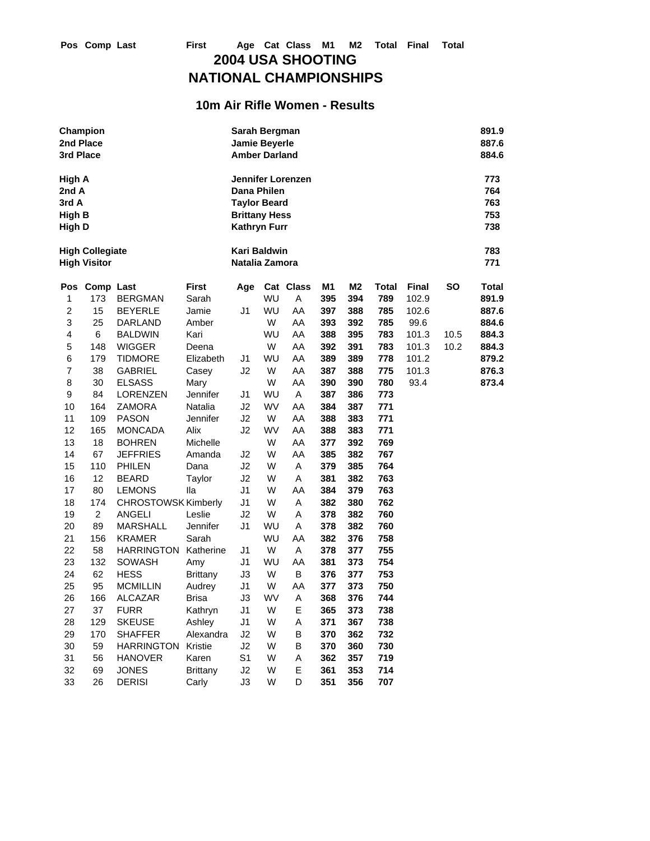## **NATIONAL CHAMPIONSHIPS**

### **10m Air Rifle Women - Results**

| 2nd Place<br>3rd Place                              | Champion                                      |                            |                 | Sarah Bergman<br><b>Jamie Beyerle</b><br><b>Amber Darland</b>                     |           |                   |                |     |              |              |      | 891.9<br>887.6<br>884.6         |
|-----------------------------------------------------|-----------------------------------------------|----------------------------|-----------------|-----------------------------------------------------------------------------------|-----------|-------------------|----------------|-----|--------------|--------------|------|---------------------------------|
| High A<br>2nd A<br>3rd A<br><b>High B</b><br>High D |                                               |                            |                 | Dana Philen<br><b>Taylor Beard</b><br><b>Brittany Hess</b><br><b>Kathryn Furr</b> |           | Jennifer Lorenzen |                |     |              |              |      | 773<br>764<br>763<br>753<br>738 |
|                                                     | <b>High Collegiate</b><br><b>High Visitor</b> |                            |                 | <b>Kari Baldwin</b><br>Natalia Zamora                                             |           |                   |                |     |              |              |      | 783<br>771                      |
| Pos                                                 | <b>Comp Last</b>                              |                            | <b>First</b>    | Age                                                                               |           | Cat Class         | M <sub>1</sub> | M2  | <b>Total</b> | <b>Final</b> | SΟ   | <b>Total</b>                    |
| 1                                                   | 173                                           | <b>BERGMAN</b>             | Sarah           |                                                                                   | WU        | A                 | 395            | 394 | 789          | 102.9        |      | 891.9                           |
| $\overline{c}$                                      | 15                                            | <b>BEYERLE</b>             | Jamie           | J <sub>1</sub>                                                                    | WU        | AA                | 397            | 388 | 785          | 102.6        |      | 887.6                           |
| 3                                                   | 25                                            | DARLAND                    | Amber           |                                                                                   | W         | AA                | 393            | 392 | 785          | 99.6         |      | 884.6                           |
| 4                                                   | 6                                             | <b>BALDWIN</b>             | Kari            |                                                                                   | WU        | AA                | 388            | 395 | 783          | 101.3        | 10.5 | 884.3                           |
| 5                                                   | 148                                           | <b>WIGGER</b>              | Deena           |                                                                                   | W         | AA                | 392            | 391 | 783          | 101.3        | 10.2 | 884.3                           |
| 6                                                   | 179                                           | <b>TIDMORE</b>             | Elizabeth       | J1                                                                                | WU        | AA                | 389            | 389 | 778          | 101.2        |      | 879.2                           |
| $\overline{7}$                                      | 38                                            | <b>GABRIEL</b>             | Casey           | J2                                                                                | W         | AA                | 387            | 388 | 775          | 101.3        |      | 876.3                           |
| 8                                                   | 30                                            | <b>ELSASS</b>              | Mary            |                                                                                   | W         | AA                | 390            | 390 | 780          | 93.4         |      | 873.4                           |
| 9                                                   | 84                                            | LORENZEN                   | Jennifer        | J1                                                                                | WU        | A                 | 387            | 386 | 773          |              |      |                                 |
| 10                                                  | 164                                           | <b>ZAMORA</b>              | Natalia         | J2                                                                                | <b>WV</b> | AA                | 384            | 387 | 771          |              |      |                                 |
| 11                                                  | 109                                           | <b>PASON</b>               | Jennifer        | J2                                                                                | W         | AA                | 388            | 383 | 771          |              |      |                                 |
| 12                                                  | 165                                           | <b>MONCADA</b>             | Alix            | J2                                                                                | <b>WV</b> | AA                | 388            | 383 | 771          |              |      |                                 |
| 13                                                  | 18                                            | <b>BOHREN</b>              | Michelle        |                                                                                   | W         | AA                | 377            | 392 | 769          |              |      |                                 |
| 14                                                  | 67                                            | <b>JEFFRIES</b>            | Amanda          | J2                                                                                | W         | AA                | 385            | 382 | 767          |              |      |                                 |
| 15                                                  | 110                                           | <b>PHILEN</b>              | Dana            | J2                                                                                | W         | Α                 | 379            | 385 | 764          |              |      |                                 |
| 16                                                  | 12                                            | <b>BEARD</b>               | Taylor          | J2                                                                                | W         | Α                 | 381            | 382 | 763          |              |      |                                 |
| 17                                                  | 80                                            | <b>LEMONS</b>              | lla             | J1                                                                                | W         | AA                | 384            | 379 | 763          |              |      |                                 |
| 18                                                  | 174                                           | <b>CHROSTOWSK Kimberly</b> |                 | J1                                                                                | W         | A                 | 382            | 380 | 762          |              |      |                                 |
| 19                                                  | $\overline{2}$                                | <b>ANGELI</b>              | Leslie          | J2                                                                                | W         | Α                 | 378            | 382 | 760          |              |      |                                 |
| 20                                                  | 89                                            | <b>MARSHALL</b>            | Jennifer        | J1                                                                                | WU        | Α                 | 378            | 382 | 760          |              |      |                                 |
| 21                                                  | 156                                           | <b>KRAMER</b>              | Sarah           |                                                                                   | WU        | AA                | 382            | 376 | 758          |              |      |                                 |
| 22                                                  | 58                                            | <b>HARRINGTON</b>          | Katherine       | J1                                                                                | W         | Α                 | 378            | 377 | 755          |              |      |                                 |
| 23                                                  | 132                                           | <b>SOWASH</b>              | Amy             | J1                                                                                | WU        | AA                | 381            | 373 | 754          |              |      |                                 |
| 24                                                  | 62                                            | <b>HESS</b>                | <b>Brittany</b> | J3                                                                                | W         | В                 | 376            | 377 | 753          |              |      |                                 |
| 25                                                  | 95                                            | <b>MCMILLIN</b>            | Audrey          | J1                                                                                | W         | AA                | 377            | 373 | 750          |              |      |                                 |
| 26                                                  | 166                                           | <b>ALCAZAR</b>             | Brisa           | J3                                                                                | WV        | Α                 | 368            | 376 | 744          |              |      |                                 |
| 27                                                  | 37                                            | <b>FURR</b>                | Kathryn         | J <sub>1</sub>                                                                    | W         | Ε                 | 365            | 373 | 738          |              |      |                                 |
| 28                                                  | 129                                           | <b>SKEUSE</b>              | Ashley          | J <sub>1</sub>                                                                    | W         | А                 | 371            | 367 | 738          |              |      |                                 |
| 29                                                  | 170                                           | <b>SHAFFER</b>             | Alexandra       | J2                                                                                | W         | B                 | 370            | 362 | 732          |              |      |                                 |
| 30                                                  | 59                                            | HARRINGTON                 | Kristie         | J2                                                                                | W         | B                 | 370            | 360 | 730          |              |      |                                 |
| 31                                                  | 56                                            | <b>HANOVER</b>             | Karen           | S <sub>1</sub>                                                                    | W         | А                 | 362            | 357 | 719          |              |      |                                 |
| 32                                                  | 69                                            | <b>JONES</b>               | <b>Brittany</b> | J2                                                                                | W         | E                 | 361            | 353 | 714          |              |      |                                 |
| 33                                                  | 26                                            | <b>DERISI</b>              | Carly           | J3                                                                                | W         | D                 | 351            | 356 | 707          |              |      |                                 |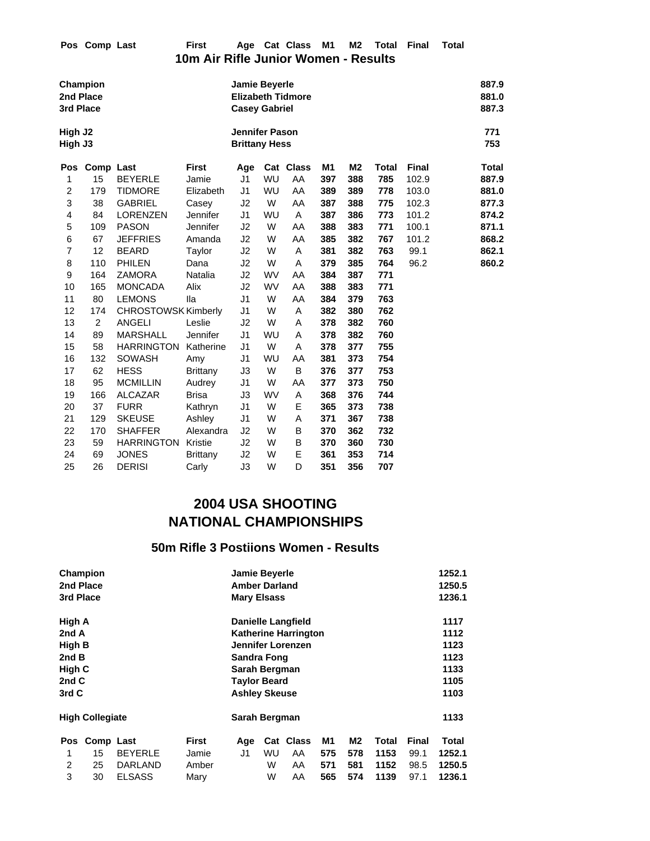|                                | Pos Comp Last  |                            | <b>First</b><br>10m Air Rifle Junior Women - Results | Age                                           |           | Cat Class                | M <sub>1</sub> | M <sub>2</sub> | <b>Total</b> | <b>Final</b> | <b>Total</b> |                         |
|--------------------------------|----------------|----------------------------|------------------------------------------------------|-----------------------------------------------|-----------|--------------------------|----------------|----------------|--------------|--------------|--------------|-------------------------|
| 2nd Place<br>3rd Place         | Champion       |                            |                                                      | Jamie Beyerle<br><b>Casey Gabriel</b>         |           | <b>Elizabeth Tidmore</b> |                |                |              |              |              | 887.9<br>881.0<br>887.3 |
| High J <sub>2</sub><br>High J3 |                |                            |                                                      | <b>Jennifer Pason</b><br><b>Brittany Hess</b> |           |                          |                |                |              |              |              | 771<br>753              |
| Pos                            | Comp Last      |                            | <b>First</b>                                         | Age                                           |           | Cat Class                | M <sub>1</sub> | M <sub>2</sub> | <b>Total</b> | <b>Final</b> |              | Total                   |
| 1                              | 15             | <b>BEYERLE</b>             | Jamie                                                | J <sub>1</sub>                                | WU        | AA                       | 397            | 388            | 785          | 102.9        |              | 887.9                   |
| $\overline{2}$                 | 179            | <b>TIDMORE</b>             | Elizabeth                                            | J <sub>1</sub>                                | WU        | AA                       | 389            | 389            | 778          | 103.0        |              | 881.0                   |
| 3                              | 38             | <b>GABRIEL</b>             | Casey                                                | J2                                            | W         | AA                       | 387            | 388            | 775          | 102.3        |              | 877.3                   |
| 4                              | 84             | <b>LORENZEN</b>            | Jennifer                                             | J <sub>1</sub>                                | WU        | Α                        | 387            | 386            | 773          | 101.2        |              | 874.2                   |
| 5                              | 109            | <b>PASON</b>               | Jennifer                                             | J2                                            | W         | AA                       | 388            | 383            | 771          | 100.1        |              | 871.1                   |
| 6                              | 67             | <b>JEFFRIES</b>            | Amanda                                               | J2                                            | W         | AA                       | 385            | 382            | 767          | 101.2        |              | 868.2                   |
| $\overline{7}$                 | 12             | <b>BEARD</b>               | Taylor                                               | J2                                            | W         | Α                        | 381            | 382            | 763          | 99.1         |              | 862.1                   |
| 8                              | 110            | <b>PHILEN</b>              | Dana                                                 | J2                                            | W         | Α                        | 379            | 385            | 764          | 96.2         |              | 860.2                   |
| 9                              | 164            | <b>ZAMORA</b>              | <b>Natalia</b>                                       | J2                                            | <b>WV</b> | AA                       | 384            | 387            | 771          |              |              |                         |
| 10                             | 165            | <b>MONCADA</b>             | Alix                                                 | J2                                            | <b>WV</b> | AA                       | 388            | 383            | 771          |              |              |                         |
| 11                             | 80             | <b>LEMONS</b>              | lla                                                  | J <sub>1</sub>                                | W         | AA                       | 384            | 379            | 763          |              |              |                         |
| 12                             | 174            | <b>CHROSTOWSK Kimberly</b> |                                                      | J1                                            | W         | Α                        | 382            | 380            | 762          |              |              |                         |
| 13                             | $\overline{2}$ | <b>ANGELI</b>              | Leslie                                               | J2                                            | W         | A                        | 378            | 382            | 760          |              |              |                         |
| 14                             | 89             | <b>MARSHALL</b>            | Jennifer                                             | J <sub>1</sub>                                | WU        | Α                        | 378            | 382            | 760          |              |              |                         |
| 15                             | 58             | <b>HARRINGTON</b>          | Katherine                                            | J1                                            | W         | Α                        | 378            | 377            | 755          |              |              |                         |
| 16                             | 132            | <b>SOWASH</b>              | Amy                                                  | J1                                            | WU        | AA                       | 381            | 373            | 754          |              |              |                         |
| 17                             | 62             | <b>HESS</b>                | <b>Brittany</b>                                      | J3                                            | W         | B                        | 376            | 377            | 753          |              |              |                         |
| 18                             | 95             | <b>MCMILLIN</b>            | Audrey                                               | J1                                            | W         | AA                       | 377            | 373            | 750          |              |              |                         |
| 19                             | 166            | <b>ALCAZAR</b>             | <b>Brisa</b>                                         | J3                                            | <b>WV</b> | Α                        | 368            | 376            | 744          |              |              |                         |
| 20                             | 37             | <b>FURR</b>                | Kathryn                                              | J <sub>1</sub>                                | W         | Ε                        | 365            | 373            | 738          |              |              |                         |
| 21                             | 129            | <b>SKEUSE</b>              | Ashley                                               | J1                                            | W         | Α                        | 371            | 367            | 738          |              |              |                         |
| 22                             | 170            | <b>SHAFFER</b>             | Alexandra                                            | J2                                            | W         | B                        | 370            | 362            | 732          |              |              |                         |
| 23                             | 59             | <b>HARRINGTON Kristie</b>  |                                                      | J2                                            | W         | В                        | 370            | 360            | 730          |              |              |                         |
| 24                             | 69             | <b>JONES</b>               | <b>Brittany</b>                                      | J2                                            | W         | E                        | 361            | 353            | 714          |              |              |                         |
| 25                             | 26             | <b>DERISI</b>              | Carly                                                | J3                                            | W         | D                        | 351            | 356            | 707          |              |              |                         |

### **50m Rifle 3 Postiions Women - Results**

|           | Champion               |                |              | <b>Jamie Beyerle</b> |               |                             |      |      |       |              | 1252.1 |  |  |
|-----------|------------------------|----------------|--------------|----------------------|---------------|-----------------------------|------|------|-------|--------------|--------|--|--|
|           | 2nd Place              |                |              | <b>Amber Darland</b> |               |                             |      |      |       |              | 1250.5 |  |  |
| 3rd Place |                        |                |              | <b>Mary Elsass</b>   |               |                             |      |      |       |              | 1236.1 |  |  |
| High A    |                        |                |              |                      |               | <b>Danielle Langfield</b>   |      |      |       |              | 1117   |  |  |
| 2nd A     |                        |                |              |                      |               | <b>Katherine Harrington</b> |      |      |       |              | 1112   |  |  |
| High B    |                        |                |              |                      |               | Jennifer Lorenzen           |      |      |       | 1123         |        |  |  |
| 2nd B     |                        |                |              |                      | Sandra Fong   |                             |      |      |       |              |        |  |  |
| High C    |                        |                |              |                      | Sarah Bergman |                             |      |      |       |              |        |  |  |
| 2nd C     |                        |                |              | <b>Taylor Beard</b>  |               |                             |      |      |       |              | 1105   |  |  |
| 3rd C     |                        |                |              | <b>Ashley Skeuse</b> |               |                             | 1103 |      |       |              |        |  |  |
|           | <b>High Collegiate</b> |                |              | Sarah Bergman        |               |                             |      |      |       |              | 1133   |  |  |
| Pos       | Comp Last              |                | <b>First</b> | Age                  |               | Cat Class                   | M1   | M2   | Total | <b>Final</b> | Total  |  |  |
| 1         | 15                     | <b>BEYERLE</b> | Jamie        | J1                   | WU            | AA                          | 575  | 578  | 1153  | 99.1         | 1252.1 |  |  |
| 2         | 25                     | DARLAND        | Amber        |                      | W             | AA                          | 571  | 581  | 1152  | 98.5         | 1250.5 |  |  |
| 3         | 30                     | <b>ELSASS</b>  |              | W                    | AA            | 565                         | 574  | 1139 | 97.1  | 1236.1       |        |  |  |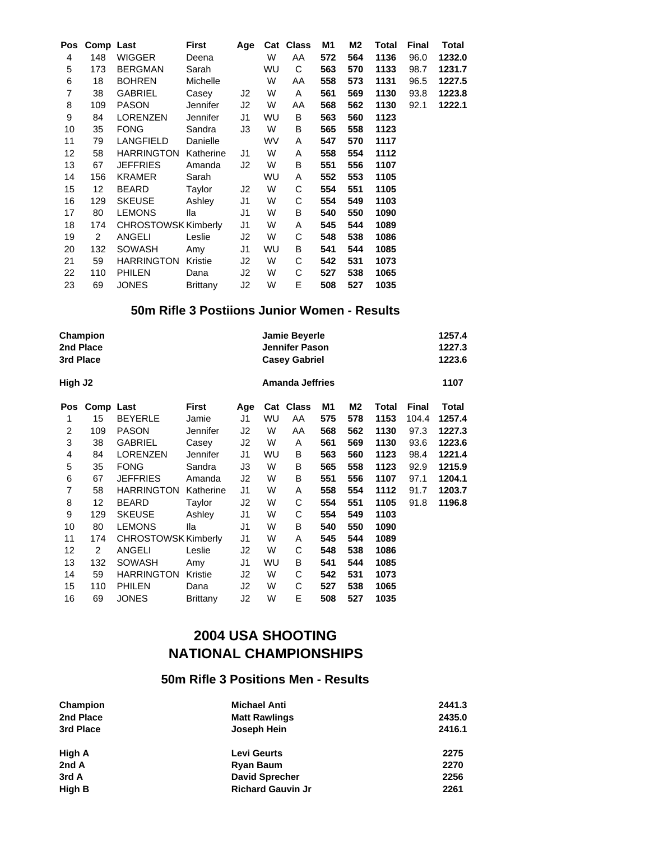| Pos | Comp Last      |                     | <b>First</b>    | Age            | Cat       | <b>Class</b> | M1  | M2  | Total | <b>Final</b> | Total  |
|-----|----------------|---------------------|-----------------|----------------|-----------|--------------|-----|-----|-------|--------------|--------|
| 4   | 148            | <b>WIGGER</b>       | Deena           |                | W         | AA           | 572 | 564 | 1136  | 96.0         | 1232.0 |
| 5   | 173            | <b>BERGMAN</b>      | Sarah           |                | <b>WU</b> | С            | 563 | 570 | 1133  | 98.7         | 1231.7 |
| 6   | 18             | <b>BOHREN</b>       | Michelle        |                | W         | AA           | 558 | 573 | 1131  | 96.5         | 1227.5 |
| 7   | 38             | <b>GABRIEL</b>      | Casey           | J2             | W         | Α            | 561 | 569 | 1130  | 93.8         | 1223.8 |
| 8   | 109            | <b>PASON</b>        | Jennifer        | J2             | W         | AA           | 568 | 562 | 1130  | 92.1         | 1222.1 |
| 9   | 84             | LORENZEN            | Jennifer        | J1             | WU        | В            | 563 | 560 | 1123  |              |        |
| 10  | 35             | <b>FONG</b>         | Sandra          | JЗ             | W         | B            | 565 | 558 | 1123  |              |        |
| 11  | 79             | <b>LANGFIELD</b>    | Danielle        |                | <b>WV</b> | A            | 547 | 570 | 1117  |              |        |
| 12  | 58             | <b>HARRINGTON</b>   | Katherine       | J1             | W         | A            | 558 | 554 | 1112  |              |        |
| 13  | 67             | <b>JEFFRIES</b>     | Amanda          | J2             | W         | В            | 551 | 556 | 1107  |              |        |
| 14  | 156            | KRAMER              | Sarah           |                | <b>WU</b> | Α            | 552 | 553 | 1105  |              |        |
| 15  | 12             | <b>BEARD</b>        | Taylor          | J <sub>2</sub> | W         | С            | 554 | 551 | 1105  |              |        |
| 16  | 129            | <b>SKEUSE</b>       | Ashley          | J1             | W         | С            | 554 | 549 | 1103  |              |        |
| 17  | 80             | <b>LEMONS</b>       | lla             | J1             | W         | B            | 540 | 550 | 1090  |              |        |
| 18  | 174            | CHROSTOWSK Kimberly |                 | J1             | W         | Α            | 545 | 544 | 1089  |              |        |
| 19  | $\overline{2}$ | <b>ANGELI</b>       | Leslie          | J2             | W         | С            | 548 | 538 | 1086  |              |        |
| 20  | 132            | <b>SOWASH</b>       | Amy             | J1             | <b>WU</b> | B            | 541 | 544 | 1085  |              |        |
| 21  | 59             | <b>HARRINGTON</b>   | Kristie         | J2             | W         | C            | 542 | 531 | 1073  |              |        |
| 22  | 110            | <b>PHILEN</b>       | Dana            | J2             | W         | С            | 527 | 538 | 1065  |              |        |
| 23  | 69             | <b>JONES</b>        | <b>Brittany</b> | J2             | W         | E            | 508 | 527 | 1035  |              |        |

### **50m Rifle 3 Postiions Junior Women - Results**

| 2nd Place<br>3rd Place | Champion       |                            |                 |     | Jamie Beyerle<br>Jennifer Pason<br><b>Casey Gabriel</b> |                        |     |     | 1257.4<br>1227.3<br>1223.6 |              |        |
|------------------------|----------------|----------------------------|-----------------|-----|---------------------------------------------------------|------------------------|-----|-----|----------------------------|--------------|--------|
| High J2                |                |                            |                 |     |                                                         | <b>Amanda Jeffries</b> |     |     |                            |              | 1107   |
| Pos                    | Comp Last      |                            | <b>First</b>    | Age | Cat                                                     | <b>Class</b>           | M1  | M2  | Total                      | <b>Final</b> | Total  |
| 1                      | 15             | <b>BEYERLE</b>             | Jamie           | J1  | WU                                                      | AA                     | 575 | 578 | 1153                       | 104.4        | 1257.4 |
| 2                      | 109            | <b>PASON</b>               | Jennifer        | J2  | W                                                       | AA                     | 568 | 562 | 1130                       | 97.3         | 1227.3 |
| 3                      | 38             | GABRIEL                    | Casey           | J2  | W                                                       | A                      | 561 | 569 | 1130                       | 93.6         | 1223.6 |
| 4                      | 84             | <b>LORENZEN</b>            | <b>Jennifer</b> | J1  | WU                                                      | B                      | 563 | 560 | 1123                       | 98.4         | 1221.4 |
| 5                      | 35             | <b>FONG</b>                | Sandra          | JЗ  | W                                                       | B                      | 565 | 558 | 1123                       | 92.9         | 1215.9 |
| 6                      | 67             | <b>JEFFRIES</b>            | Amanda          | J2  | W                                                       | B                      | 551 | 556 | 1107                       | 97.1         | 1204.1 |
| 7                      | 58             | <b>HARRINGTON</b>          | Katherine       | J1  | W                                                       | A                      | 558 | 554 | 1112                       | 91.7         | 1203.7 |
| 8                      | 12             | <b>BEARD</b>               | Taylor          | J2  | W                                                       | С                      | 554 | 551 | 1105                       | 91.8         | 1196.8 |
| 9                      | 129            | <b>SKEUSE</b>              | Ashley          | J1  | W                                                       | С                      | 554 | 549 | 1103                       |              |        |
| 10                     | 80             | <b>LEMONS</b>              | lla             | J1  | W                                                       | B                      | 540 | 550 | 1090                       |              |        |
| 11                     | 174            | <b>CHROSTOWSK Kimberly</b> |                 | J1  | W                                                       | A                      | 545 | 544 | 1089                       |              |        |
| 12                     | $\overline{2}$ | <b>ANGELI</b>              | Leslie          | J2  | W                                                       | С                      | 548 | 538 | 1086                       |              |        |
| 13                     | 132            | <b>SOWASH</b>              | Amy             | J1  | WU                                                      | B                      | 541 | 544 | 1085                       |              |        |
| 14                     | 59             | <b>HARRINGTON</b>          | Kristie         | J2  | W                                                       | С                      | 542 | 531 | 1073                       |              |        |
| 15                     | 110            | <b>PHILEN</b>              | Dana            | J2  | W                                                       | С                      | 527 | 538 | 1065                       |              |        |
| 16                     | 69             | <b>JONES</b>               | <b>Brittany</b> | J2  | W                                                       | E                      | 508 | 527 | 1035                       |              |        |

# **2004 USA SHOOTING NATIONAL CHAMPIONSHIPS**

### **50m Rifle 3 Positions Men - Results**

| Champion  | <b>Michael Anti</b>      | 2441.3 |
|-----------|--------------------------|--------|
| 2nd Place | <b>Matt Rawlings</b>     | 2435.0 |
| 3rd Place | Joseph Hein              | 2416.1 |
| High A    | <b>Levi Geurts</b>       | 2275   |
| 2nd A     | <b>Ryan Baum</b>         | 2270   |
| 3rd A     | <b>David Sprecher</b>    | 2256   |
| High B    | <b>Richard Gauvin Jr</b> | 2261   |
|           |                          |        |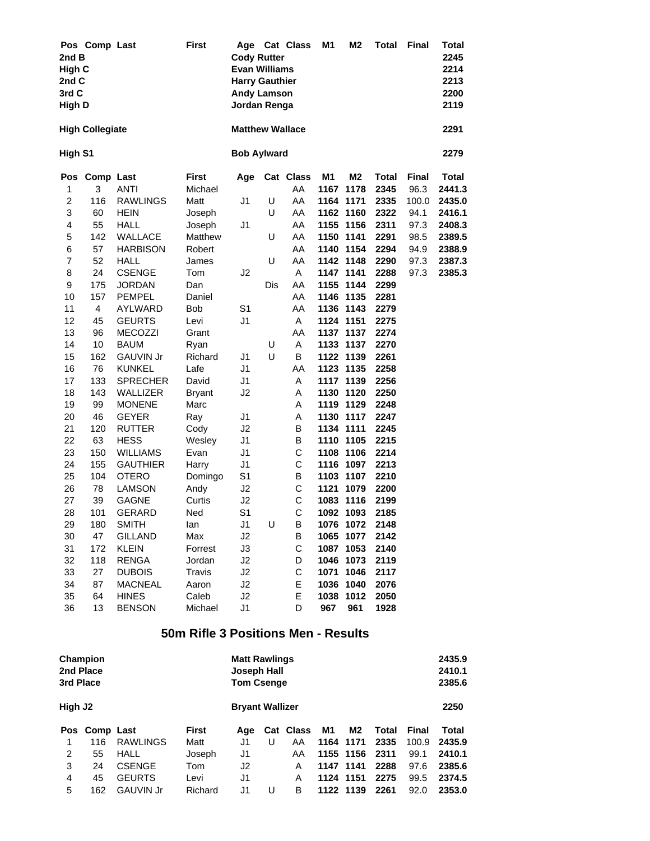| 2nd B<br>High C<br>2nd C<br>3rd C<br><b>High D</b> | Pos Comp Last          |                  | <b>First</b>  | Age<br><b>Cody Rutter</b><br><b>Evan Williams</b><br><b>Harry Gauthier</b><br><b>Andy Lamson</b><br>Jordan Renga |     | <b>Cat Class</b> | M <sub>1</sub> | M <sub>2</sub> | <b>Total</b> | <b>Final</b> | <b>Total</b><br>2245<br>2214<br>2213<br>2200<br>2119 |
|----------------------------------------------------|------------------------|------------------|---------------|------------------------------------------------------------------------------------------------------------------|-----|------------------|----------------|----------------|--------------|--------------|------------------------------------------------------|
|                                                    | <b>High Collegiate</b> |                  |               | <b>Matthew Wallace</b>                                                                                           |     |                  |                |                |              |              | 2291                                                 |
| High S1                                            |                        |                  |               | <b>Bob Aylward</b>                                                                                               |     |                  |                |                |              |              | 2279                                                 |
|                                                    | Pos Comp Last          |                  | <b>First</b>  | Age                                                                                                              |     | Cat Class        | M1             | M2             | <b>Total</b> | Final        | <b>Total</b>                                         |
| 1                                                  | 3                      | <b>ANTI</b>      | Michael       |                                                                                                                  |     | AA               | 1167           | 1178           | 2345         | 96.3         | 2441.3                                               |
| $\overline{\mathbf{c}}$                            | 116                    | <b>RAWLINGS</b>  | Matt          | J1                                                                                                               | U   | AA               |                | 1164 1171      | 2335         | 100.0        | 2435.0                                               |
| 3                                                  | 60                     | <b>HEIN</b>      | Joseph        |                                                                                                                  | U   | AA               |                | 1162 1160      | 2322         | 94.1         | 2416.1                                               |
| $\overline{\mathbf{4}}$                            | 55                     | <b>HALL</b>      | Joseph        | J1                                                                                                               |     | AA               |                | 1155 1156      | 2311         | 97.3         | 2408.3                                               |
| 5                                                  | 142                    | WALLACE          | Matthew       |                                                                                                                  | U   | AA               | 1150           | 1141           | 2291         | 98.5         | 2389.5                                               |
| 6                                                  | 57                     | <b>HARBISON</b>  | Robert        |                                                                                                                  |     | AA               |                | 1140 1154      | 2294         | 94.9         | 2388.9                                               |
| 7                                                  | 52                     | <b>HALL</b>      | James         |                                                                                                                  | U   | AA               |                | 1142 1148      | 2290         | 97.3         | 2387.3                                               |
| 8                                                  | 24                     | <b>CSENGE</b>    | Tom           | J2                                                                                                               |     | A                |                | 1147 1141      | 2288         | 97.3         | 2385.3                                               |
| 9                                                  | 175                    | <b>JORDAN</b>    | Dan           |                                                                                                                  | Dis | AA               | 1155           | 1144           | 2299         |              |                                                      |
| 10                                                 | 157                    | <b>PEMPEL</b>    | Daniel        |                                                                                                                  |     | AA               |                | 1146 1135      | 2281         |              |                                                      |
| 11                                                 | $\overline{4}$         | AYLWARD          | Bob           | S1                                                                                                               |     | AA               |                | 1136 1143      | 2279         |              |                                                      |
| 12                                                 | 45                     | <b>GEURTS</b>    | Levi          | J <sub>1</sub>                                                                                                   |     | Α                |                | 1124 1151      | 2275         |              |                                                      |
| 13                                                 | 96                     | <b>MECOZZI</b>   | Grant         |                                                                                                                  |     | AA               |                | 1137 1137      | 2274         |              |                                                      |
| 14                                                 | 10                     | <b>BAUM</b>      | Ryan          |                                                                                                                  | U   | A                |                | 1133 1137      | 2270         |              |                                                      |
| 15                                                 | 162                    | <b>GAUVIN Jr</b> | Richard       | J1                                                                                                               | U   | B                |                | 1122 1139      | 2261         |              |                                                      |
| 16                                                 | 76                     | <b>KUNKEL</b>    | Lafe          | J <sub>1</sub>                                                                                                   |     | AA               |                | 1123 1135      | 2258         |              |                                                      |
| 17                                                 | 133                    | <b>SPRECHER</b>  | David         | J1                                                                                                               |     | A                |                | 1117 1139      | 2256         |              |                                                      |
| 18                                                 | 143                    | WALLIZER         | <b>Bryant</b> | J2                                                                                                               |     | Α                |                | 1130 1120      | 2250         |              |                                                      |
| 19                                                 | 99                     | <b>MONENE</b>    | Marc          |                                                                                                                  |     | Α                |                | 1119 1129      | 2248         |              |                                                      |
| 20                                                 | 46                     | <b>GEYER</b>     | Ray           | J1                                                                                                               |     | Α                |                | 1130 1117      | 2247         |              |                                                      |
| 21                                                 | 120                    | <b>RUTTER</b>    | Cody          | J2                                                                                                               |     | B                |                | 1134 1111      | 2245         |              |                                                      |
| 22                                                 | 63                     | <b>HESS</b>      | Wesley        | J <sub>1</sub>                                                                                                   |     | В                |                | 1110 1105      | 2215         |              |                                                      |
| 23                                                 | 150                    | <b>WILLIAMS</b>  | Evan          | J <sub>1</sub>                                                                                                   |     | C                |                | 1108 1106      | 2214         |              |                                                      |
| 24                                                 | 155                    | <b>GAUTHIER</b>  | Harry         | J1                                                                                                               |     | C                |                | 1116 1097      | 2213         |              |                                                      |
| 25                                                 | 104                    | <b>OTERO</b>     | Domingo       | S <sub>1</sub>                                                                                                   |     | B                |                | 1103 1107      | 2210         |              |                                                      |
| 26                                                 | 78                     | <b>LAMSON</b>    | Andy          | J2                                                                                                               |     | C                | 1121           | 1079           | 2200         |              |                                                      |
| 27                                                 | 39                     | <b>GAGNE</b>     | Curtis        | J2                                                                                                               |     | C                | 1083           | 1116           | 2199         |              |                                                      |
| 28                                                 | 101                    | <b>GERARD</b>    | Ned           | S1                                                                                                               |     | C                | 1092           | 1093           | 2185         |              |                                                      |
| 29                                                 | 180                    | <b>SMITH</b>     | lan           | J <sub>1</sub>                                                                                                   | U   | В                |                | 1076 1072      | 2148         |              |                                                      |
| 30                                                 | 47                     | <b>GILLAND</b>   | Max           | J2                                                                                                               |     | В                | 1065           | 1077           | 2142         |              |                                                      |
| 31                                                 | 172                    | <b>KLEIN</b>     | Forrest       | J3                                                                                                               |     | C                |                | 1087 1053      | 2140         |              |                                                      |
| 32                                                 | 118                    | <b>RENGA</b>     | Jordan        | J2                                                                                                               |     | D                | 1046           | 1073           | 2119         |              |                                                      |
| 33                                                 | 27                     | <b>DUBOIS</b>    | Travis        | J2                                                                                                               |     | С                | 1071           | 1046           | 2117         |              |                                                      |
| 34                                                 | 87                     | <b>MACNEAL</b>   | Aaron         | J2                                                                                                               |     | Е                | 1036           | 1040           | 2076         |              |                                                      |
| 35                                                 | 64                     | <b>HINES</b>     | Caleb         | J2                                                                                                               |     | Е                | 1038           | 1012           | 2050         |              |                                                      |
| 36                                                 | 13                     | <b>BENSON</b>    | Michael       | J1                                                                                                               |     | D                | 967            | 961            | 1928         |              |                                                      |

### **50m Rifle 3 Positions Men - Results**

| 2nd Place<br>3rd Place | Champion      |                  |              | <b>Matt Rawlings</b><br>Joseph Hall<br><b>Tom Csenge</b> |   |           |    |           |       |       | 2435.9<br>2410.1<br>2385.6 |
|------------------------|---------------|------------------|--------------|----------------------------------------------------------|---|-----------|----|-----------|-------|-------|----------------------------|
| High J <sub>2</sub>    |               |                  |              | <b>Bryant Wallizer</b>                                   |   |           |    |           |       |       | 2250                       |
|                        | Pos Comp Last |                  | <b>First</b> | Aae                                                      |   | Cat Class | M1 | M2        | Total | Final | Total                      |
|                        | 116           | <b>RAWLINGS</b>  | Matt         | J1                                                       | U | AA        |    | 1164 1171 | 2335  | 100.9 | 2435.9                     |
| 2                      | 55            | <b>HALL</b>      | Joseph       | J1                                                       |   | AA        |    | 1155 1156 | 2311  | 99.1  | 2410.1                     |
| 3                      | 24            | <b>CSENGE</b>    | Tom          | J2                                                       |   | A         |    | 1147 1141 | 2288  | 97.6  | 2385.6                     |
| 4                      | 45            | <b>GEURTS</b>    | Levi         | J1                                                       |   | A         |    | 1124 1151 | 2275  | 99.5  | 2374.5                     |
| 5                      | 162           | <b>GAUVIN Jr</b> | Richard      | J1                                                       | U | B         |    | 1122 1139 | 2261  | 92.0  | 2353.0                     |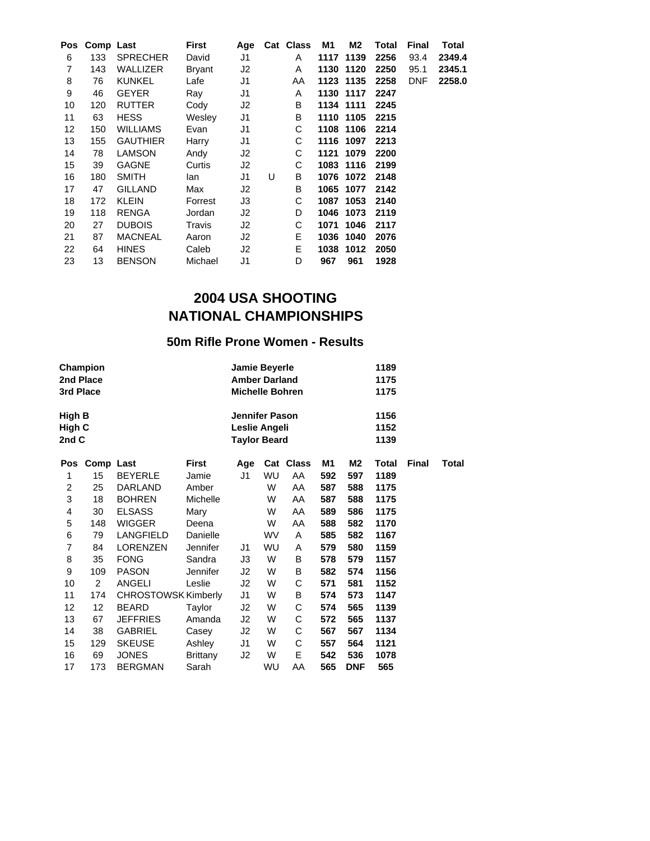|    | Pos Comp Last |                 | First   | Age |   | Cat Class | M1  | M2        | Total | Final      | Total  |
|----|---------------|-----------------|---------|-----|---|-----------|-----|-----------|-------|------------|--------|
| 6  | 133           | <b>SPRECHER</b> | David   | J1  |   | A         |     | 1117 1139 | 2256  | 93.4       | 2349.4 |
| 7  | 143           | WALLIZER        | Bryant  | J2  |   | A         |     | 1130 1120 | 2250  | 95.1       | 2345.1 |
| 8  | 76            | <b>KUNKEL</b>   | Lafe    | J1  |   | AA        |     | 1123 1135 | 2258  | <b>DNF</b> | 2258.0 |
| 9  | 46            | <b>GEYER</b>    | Ray     | J1  |   | A         |     | 1130 1117 | 2247  |            |        |
| 10 | 120           | <b>RUTTER</b>   | Cody    | J2  |   | B         |     | 1134 1111 | 2245  |            |        |
| 11 | 63            | <b>HESS</b>     | Wesley  | J1  |   | B         |     | 1110 1105 | 2215  |            |        |
| 12 | 150           | <b>WILLIAMS</b> | Evan    | J1  |   | С         |     | 1108 1106 | 2214  |            |        |
| 13 | 155           | <b>GAUTHIER</b> | Harry   | J1  |   | С         |     | 1116 1097 | 2213  |            |        |
| 14 | 78            | <b>LAMSON</b>   | Andy    | J2  |   | С         |     | 1121 1079 | 2200  |            |        |
| 15 | 39            | <b>GAGNE</b>    | Curtis  | J2  |   | С         |     | 1083 1116 | 2199  |            |        |
| 16 | 180           | <b>SMITH</b>    | lan     | J1  | U | B         |     | 1076 1072 | 2148  |            |        |
| 17 | 47            | <b>GILLAND</b>  | Max     | J2  |   | B         |     | 1065 1077 | 2142  |            |        |
| 18 | 172           | <b>KLEIN</b>    | Forrest | J3  |   | С         |     | 1087 1053 | 2140  |            |        |
| 19 | 118           | RENGA           | Jordan  | J2  |   | D         |     | 1046 1073 | 2119  |            |        |
| 20 | 27            | <b>DUBOIS</b>   | Travis  | J2  |   | C         |     | 1071 1046 | 2117  |            |        |
| 21 | 87            | <b>MACNEAL</b>  | Aaron   | J2  |   | E         |     | 1036 1040 | 2076  |            |        |
| 22 | 64            | <b>HINES</b>    | Caleb   | J2  |   | E.        |     | 1038 1012 | 2050  |            |        |
| 23 | 13            | <b>BENSON</b>   | Michael | J1  |   | D         | 967 | 961       | 1928  |            |        |

## **50m Rifle Prone Women - Results**

| 3rd Place                 | Champion<br>2nd Place |                            |                 | Jamie Beyerle<br><b>Amber Darland</b><br><b>Michelle Bohren</b> |    |           |     |            | 1189<br>1175<br>1175 |              |       |
|---------------------------|-----------------------|----------------------------|-----------------|-----------------------------------------------------------------|----|-----------|-----|------------|----------------------|--------------|-------|
| High B<br>High C<br>2nd C |                       |                            |                 | Jennifer Pason<br>Leslie Angeli<br><b>Taylor Beard</b>          |    |           |     |            | 1156<br>1152<br>1139 |              |       |
| Pos                       | Comp Last             |                            | <b>First</b>    | Age                                                             |    | Cat Class | М1  | M2         | Total                | <b>Final</b> | Total |
| 1                         | 15                    | <b>BEYERLE</b>             | Jamie           | J1                                                              | WU | AA        | 592 | 597        | 1189                 |              |       |
| 2                         | 25                    | <b>DARLAND</b>             | Amber           |                                                                 | W  | AA        | 587 | 588        | 1175                 |              |       |
| 3                         | 18                    | <b>BOHREN</b>              | Michelle        |                                                                 | W  | AA        | 587 | 588        | 1175                 |              |       |
| 4                         | 30                    | <b>ELSASS</b>              | Mary            |                                                                 | W  | AA        | 589 | 586        | 1175                 |              |       |
| 5                         | 148                   | <b>WIGGER</b>              | Deena           |                                                                 | W  | AA        | 588 | 582        | 1170                 |              |       |
| 6                         | 79                    | LANGFIELD                  | Danielle        |                                                                 | WV | A         | 585 | 582        | 1167                 |              |       |
| 7                         | 84                    | <b>LORENZEN</b>            | Jennifer        | J1                                                              | WU | A         | 579 | 580        | 1159                 |              |       |
| 8                         | 35                    | <b>FONG</b>                | Sandra          | JЗ                                                              | W  | В         | 578 | 579        | 1157                 |              |       |
| 9                         | 109                   | <b>PASON</b>               | Jennifer        | J2                                                              | W  | B         | 582 | 574        | 1156                 |              |       |
| 10                        | $\overline{2}$        | ANGELI                     | Leslie          | J2                                                              | W  | С         | 571 | 581        | 1152                 |              |       |
| 11                        | 174                   | <b>CHROSTOWSK Kimberly</b> |                 | J1                                                              | W  | В         | 574 | 573        | 1147                 |              |       |
| 12                        | 12                    | <b>BEARD</b>               | Taylor          | J2                                                              | W  | С         | 574 | 565        | 1139                 |              |       |
| 13                        | 67                    | <b>JEFFRIES</b>            | Amanda          | J2                                                              | W  | С         | 572 | 565        | 1137                 |              |       |
| 14                        | 38                    | <b>GABRIEL</b>             | Casey           | J2                                                              | W  | С         | 567 | 567        | 1134                 |              |       |
| 15                        | 129                   | <b>SKEUSE</b>              | Ashley          | J1                                                              | W  | C         | 557 | 564        | 1121                 |              |       |
| 16                        | 69                    | <b>JONES</b>               | <b>Brittany</b> | J2                                                              | W  | Ε         | 542 | 536        | 1078                 |              |       |
| 17                        | 173                   | <b>BERGMAN</b>             | Sarah           |                                                                 | WU | AA        | 565 | <b>DNF</b> | 565                  |              |       |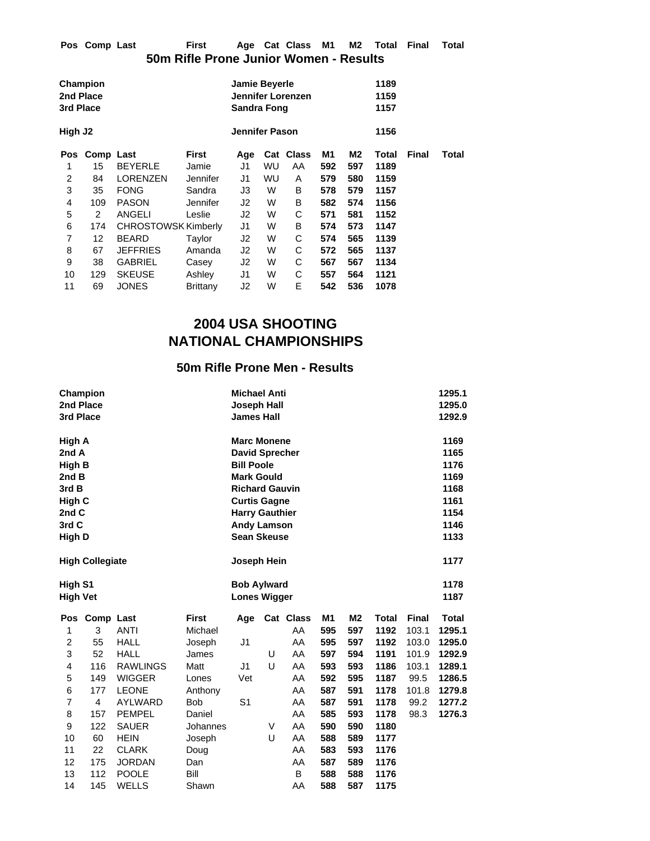| Pos Comp Last | First                                  |  | Age Cat Class M1 M2 Total Final Total |  |  |  |
|---------------|----------------------------------------|--|---------------------------------------|--|--|--|
|               | 50m Rifle Prone Junior Women - Results |  |                                       |  |  |  |

| Champion<br>2nd Place<br>3rd Place |             |                                                   |          | <b>Jamie Beyerle</b><br>Sandra Fong |           | Jennifer Lorenzen |     |     | 1189<br>1159<br>1157 |              |       |
|------------------------------------|-------------|---------------------------------------------------|----------|-------------------------------------|-----------|-------------------|-----|-----|----------------------|--------------|-------|
| High J2                            |             |                                                   |          | <b>Jennifer Pason</b>               |           |                   |     |     | 1156                 |              |       |
| <b>Pos</b>                         |             | <b>First</b><br>Comp Last<br><b>BEYERLE</b><br>15 |          |                                     |           | Cat Class         | M1  | M2  | Total                | <b>Final</b> | Total |
| 1                                  |             |                                                   | Jamie    | J1                                  | WU        | AA                | 592 | 597 | 1189                 |              |       |
| 2                                  | 84          | <b>LORENZEN</b>                                   | Jennifer | J1                                  | <b>WU</b> | A                 | 579 | 580 | 1159                 |              |       |
| 3                                  | 35          | <b>FONG</b>                                       | Sandra   | J3                                  | W         | В                 | 578 | 579 | 1157                 |              |       |
| 4                                  | 109         | <b>PASON</b>                                      | Jennifer | J2                                  | W         | В                 | 582 | 574 | 1156                 |              |       |
| 5                                  | 2           | ANGELI                                            | Leslie   | J2                                  | W         | С                 | 571 | 581 | 1152                 |              |       |
| 6                                  | 174         | <b>CHROSTOWSK Kimberly</b>                        |          | J1                                  | W         | В                 | 574 | 573 | 1147                 |              |       |
| 7                                  | 12          | <b>BEARD</b>                                      | Taylor   | J2                                  | W         | С                 | 574 | 565 | 1139                 |              |       |
| 8                                  | 67          | <b>JEFFRIES</b>                                   | Amanda   | J2                                  | W         | С                 | 572 | 565 | 1137                 |              |       |
| 9                                  | 38          | <b>GABRIEL</b>                                    | Casey    | J2                                  | W         | С                 | 567 | 567 | 1134                 |              |       |
| 10                                 | 129         | <b>SKEUSE</b>                                     | Ashley   | J1                                  | W         | С                 | 557 | 564 | 1121                 |              |       |
| 11                                 | 69<br>JONES |                                                   | Brittany | J2                                  | W         | Е                 | 542 | 536 | 1078                 |              |       |

# **50m Rifle Prone Men - Results**

|                 | Champion                   |                 |              | <b>Michael Anti</b>   |   |           |                |                |              |              |              |
|-----------------|----------------------------|-----------------|--------------|-----------------------|---|-----------|----------------|----------------|--------------|--------------|--------------|
| 2nd Place       |                            |                 |              | <b>Joseph Hall</b>    |   |           |                |                |              |              | 1295.0       |
| 3rd Place       |                            |                 |              | <b>James Hall</b>     |   |           |                |                |              |              | 1292.9       |
|                 |                            |                 |              | <b>Marc Monene</b>    |   |           |                |                |              |              | 1169         |
| High A<br>2nd A |                            |                 |              | <b>David Sprecher</b> |   |           |                |                |              |              | 1165         |
| <b>High B</b>   |                            |                 |              | <b>Bill Poole</b>     |   |           |                |                |              |              | 1176         |
| 2nd B           |                            |                 |              | <b>Mark Gould</b>     |   |           |                |                |              |              | 1169         |
| 3rd B           |                            |                 |              | <b>Richard Gauvin</b> |   |           |                |                |              |              | 1168         |
| High C          |                            |                 |              | <b>Curtis Gagne</b>   |   |           |                |                |              |              | 1161         |
| 2nd C           |                            |                 |              | <b>Harry Gauthier</b> |   |           |                |                |              |              | 1154         |
| 3rd C           |                            |                 |              | <b>Andy Lamson</b>    |   |           |                |                |              |              | 1146         |
| High D          |                            |                 |              | <b>Sean Skeuse</b>    |   |           |                |                |              |              | 1133         |
|                 |                            |                 |              |                       |   |           |                |                |              |              |              |
|                 | <b>High Collegiate</b>     |                 |              | Joseph Hein           |   |           |                |                |              |              | 1177         |
|                 | High S1<br><b>High Vet</b> |                 |              | <b>Bob Aylward</b>    |   |           |                |                |              |              | 1178         |
|                 |                            |                 |              | <b>Lones Wigger</b>   |   | 1187      |                |                |              |              |              |
| Pos             | Comp Last                  |                 | <b>First</b> | Age                   |   | Cat Class | M <sub>1</sub> | M <sub>2</sub> | <b>Total</b> | <b>Final</b> | <b>Total</b> |
| 1               | 3                          | <b>ANTI</b>     | Michael      |                       |   | AA        | 595            | 597            | 1192         | 103.1        | 1295.1       |
| 2               | 55                         | <b>HALL</b>     | Joseph       | J1                    |   | AA        | 595            | 597            | 1192         | 103.0        | 1295.0       |
| 3               | 52                         | <b>HALL</b>     | James        |                       | U | AA        | 597            | 594            | 1191         | 101.9        | 1292.9       |
| 4               | 116                        | <b>RAWLINGS</b> | Matt         | J1                    | U | AA        | 593            | 593            | 1186         | 103.1        | 1289.1       |
| 5               | 149                        | <b>WIGGER</b>   | Lones        | Vet                   |   | AA        | 592            | 595            | 1187         | 99.5         | 1286.5       |
| 6               | 177                        | <b>LEONE</b>    | Anthony      |                       |   | AA        | 587            | 591            | 1178         | 101.8        | 1279.8       |
| $\overline{7}$  | $\overline{4}$             | <b>AYLWARD</b>  | <b>Bob</b>   | S <sub>1</sub>        |   | AA        | 587            | 591            | 1178         | 99.2         | 1277.2       |
| 8               | 157                        | <b>PEMPEL</b>   | Daniel       |                       |   | AA        | 585            | 593            | 1178         | 98.3         | 1276.3       |
| 9               | 122                        | <b>SAUER</b>    | Johannes     |                       | V | AA        | 590            | 590            | 1180         |              |              |
| 10              | 60                         | <b>HEIN</b>     | Joseph       |                       | U | AA        | 588            | 589            | 1177         |              |              |
| 11              | 22                         | <b>CLARK</b>    | Doug         |                       |   | AA        | 583            | 593            | 1176         |              |              |
| 12              | 175                        | <b>JORDAN</b>   | Dan          |                       |   | AA        | 587            | 589            | 1176         |              |              |
| 13              | 112                        | <b>POOLE</b>    | Bill         |                       |   | B         | 588            | 588            | 1176         |              |              |
|                 |                            |                 |              |                       |   |           |                |                |              |              |              |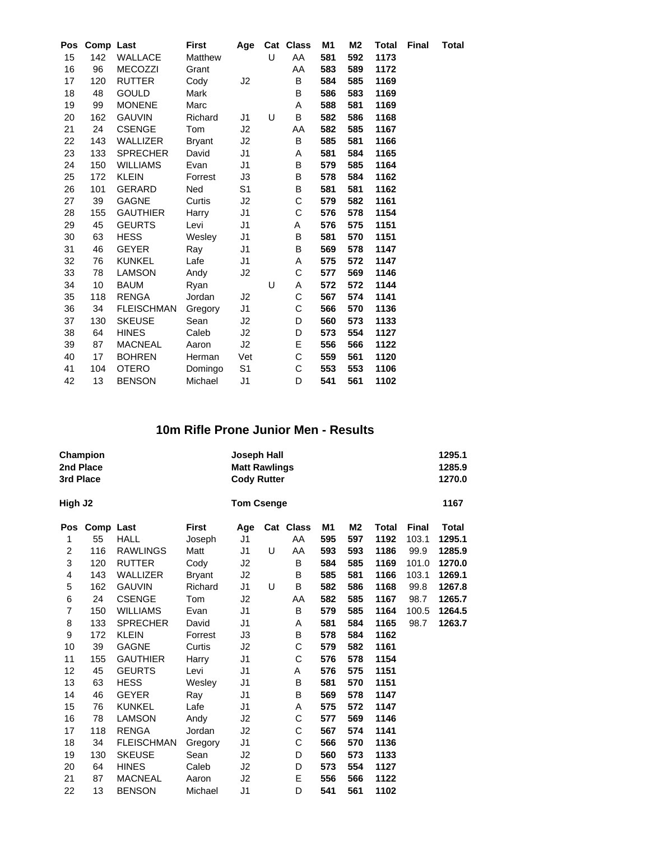| Pos | Comp Last |                   | <b>First</b>  | Age            |   | Cat Class | M <sub>1</sub> | M2  | <b>Total</b> | <b>Final</b> | <b>Total</b> |
|-----|-----------|-------------------|---------------|----------------|---|-----------|----------------|-----|--------------|--------------|--------------|
| 15  | 142       | <b>WALLACE</b>    | Matthew       |                | U | AA        | 581            | 592 | 1173         |              |              |
| 16  | 96        | <b>MECOZZI</b>    | Grant         |                |   | AA        | 583            | 589 | 1172         |              |              |
| 17  | 120       | <b>RUTTER</b>     | Cody          | J2             |   | В         | 584            | 585 | 1169         |              |              |
| 18  | 48        | <b>GOULD</b>      | Mark          |                |   | B         | 586            | 583 | 1169         |              |              |
| 19  | 99        | <b>MONENE</b>     | Marc          |                |   | Α         | 588            | 581 | 1169         |              |              |
| 20  | 162       | <b>GAUVIN</b>     | Richard       | J1             | U | В         | 582            | 586 | 1168         |              |              |
| 21  | 24        | <b>CSENGE</b>     | Tom           | J2             |   | AA        | 582            | 585 | 1167         |              |              |
| 22  | 143       | <b>WALLIZER</b>   | <b>Bryant</b> | J2             |   | B         | 585            | 581 | 1166         |              |              |
| 23  | 133       | <b>SPRECHER</b>   | David         | J1             |   | Α         | 581            | 584 | 1165         |              |              |
| 24  | 150       | <b>WILLIAMS</b>   | Evan          | J1             |   | В         | 579            | 585 | 1164         |              |              |
| 25  | 172       | <b>KLEIN</b>      | Forrest       | JЗ             |   | В         | 578            | 584 | 1162         |              |              |
| 26  | 101       | <b>GERARD</b>     | Ned           | S <sub>1</sub> |   | В         | 581            | 581 | 1162         |              |              |
| 27  | 39        | <b>GAGNE</b>      | Curtis        | J2             |   | C         | 579            | 582 | 1161         |              |              |
| 28  | 155       | <b>GAUTHIER</b>   | Harry         | J1             |   | С         | 576            | 578 | 1154         |              |              |
| 29  | 45        | <b>GEURTS</b>     | Levi          | J1             |   | Α         | 576            | 575 | 1151         |              |              |
| 30  | 63        | <b>HESS</b>       | Wesley        | J1             |   | B         | 581            | 570 | 1151         |              |              |
| 31  | 46        | <b>GEYER</b>      | Ray           | J1             |   | В         | 569            | 578 | 1147         |              |              |
| 32  | 76        | <b>KUNKEL</b>     | Lafe          | J1             |   | Α         | 575            | 572 | 1147         |              |              |
| 33  | 78        | <b>LAMSON</b>     | Andy          | J2             |   | С         | 577            | 569 | 1146         |              |              |
| 34  | 10        | <b>BAUM</b>       | Ryan          |                | U | Α         | 572            | 572 | 1144         |              |              |
| 35  | 118       | <b>RENGA</b>      | Jordan        | J2             |   | С         | 567            | 574 | 1141         |              |              |
| 36  | 34        | <b>FLEISCHMAN</b> | Gregory       | J1             |   | С         | 566            | 570 | 1136         |              |              |
| 37  | 130       | <b>SKEUSE</b>     | Sean          | J2             |   | D         | 560            | 573 | 1133         |              |              |
| 38  | 64        | <b>HINES</b>      | Caleb         | J2             |   | D         | 573            | 554 | 1127         |              |              |
| 39  | 87        | <b>MACNEAL</b>    | Aaron         | J2             |   | E         | 556            | 566 | 1122         |              |              |
| 40  | 17        | <b>BOHREN</b>     | Herman        | Vet            |   | C         | 559            | 561 | 1120         |              |              |
| 41  | 104       | <b>OTERO</b>      | Domingo       | S <sub>1</sub> |   | С         | 553            | 553 | 1106         |              |              |
| 42  | 13        | <b>BENSON</b>     | Michael       | J1             |   | D         | 541            | 561 | 1102         |              |              |

## **10m Rifle Prone Junior Men - Results**

| 2nd Place<br>3rd Place | Champion  |                   |               | <b>Joseph Hall</b><br><b>Matt Rawlings</b><br><b>Cody Rutter</b> |   |           |     |                |       |              | 1295.1<br>1285.9<br>1270.0 |
|------------------------|-----------|-------------------|---------------|------------------------------------------------------------------|---|-----------|-----|----------------|-------|--------------|----------------------------|
| High J2                |           |                   |               | <b>Tom Csenge</b>                                                |   |           |     |                |       |              | 1167                       |
| Pos                    | Comp Last |                   | <b>First</b>  | Age                                                              |   | Cat Class | M1  | M <sub>2</sub> | Total | <b>Final</b> | <b>Total</b>               |
| 1                      | 55        | <b>HALL</b>       | Joseph        | J1                                                               |   | AA        | 595 | 597            | 1192  | 103.1        | 1295.1                     |
| $\overline{2}$         | 116       | <b>RAWLINGS</b>   | Matt          | J1                                                               | U | AA        | 593 | 593            | 1186  | 99.9         | 1285.9                     |
| 3                      | 120       | <b>RUTTER</b>     | Cody          | J2                                                               |   | B         | 584 | 585            | 1169  | 101.0        | 1270.0                     |
| 4                      | 143       | WALLIZER          | <b>Bryant</b> | J2                                                               |   | B         | 585 | 581            | 1166  | 103.1        | 1269.1                     |
| 5                      | 162       | <b>GAUVIN</b>     | Richard       | J1                                                               | U | B         | 582 | 586            | 1168  | 99.8         | 1267.8                     |
| $\,6$                  | 24        | <b>CSENGE</b>     | Tom           | J <sub>2</sub>                                                   |   | AA        | 582 | 585            | 1167  | 98.7         | 1265.7                     |
| $\overline{7}$         | 150       | <b>WILLIAMS</b>   | Evan          | J1                                                               |   | В         | 579 | 585            | 1164  | 100.5        | 1264.5                     |
| 8                      | 133       | <b>SPRECHER</b>   | David         | J1                                                               |   | Α         | 581 | 584            | 1165  | 98.7         | 1263.7                     |
| 9                      | 172       | <b>KLEIN</b>      | Forrest       | JЗ                                                               |   | B         | 578 | 584            | 1162  |              |                            |
| 10                     | 39        | <b>GAGNE</b>      | Curtis        | J2                                                               |   | C         | 579 | 582            | 1161  |              |                            |
| 11                     | 155       | <b>GAUTHIER</b>   | Harry         | J1                                                               |   | C         | 576 | 578            | 1154  |              |                            |
| 12                     | 45        | <b>GEURTS</b>     | Levi          | J1                                                               |   | Α         | 576 | 575            | 1151  |              |                            |
| 13                     | 63        | <b>HESS</b>       | Wesley        | J1                                                               |   | B         | 581 | 570            | 1151  |              |                            |
| 14                     | 46        | <b>GEYER</b>      | Ray           | J1                                                               |   | B         | 569 | 578            | 1147  |              |                            |
| 15                     | 76        | <b>KUNKEL</b>     | Lafe          | J1                                                               |   | A         | 575 | 572            | 1147  |              |                            |
| 16                     | 78        | <b>LAMSON</b>     | Andy          | J2                                                               |   | С         | 577 | 569            | 1146  |              |                            |
| 17                     | 118       | <b>RENGA</b>      | Jordan        | J2                                                               |   | C         | 567 | 574            | 1141  |              |                            |
| 18                     | 34        | <b>FLEISCHMAN</b> | Gregory       | J1                                                               |   | C         | 566 | 570            | 1136  |              |                            |
| 19                     | 130       | <b>SKEUSE</b>     | Sean          | J2                                                               |   | D         | 560 | 573            | 1133  |              |                            |
| 20                     | 64        | <b>HINES</b>      | Caleb         | J2                                                               |   | D         | 573 | 554            | 1127  |              |                            |
| 21                     | 87        | <b>MACNEAL</b>    | Aaron         | J <sub>2</sub>                                                   |   | Ε         | 556 | 566            | 1122  |              |                            |
| 22                     | 13        | <b>BENSON</b>     | Michael       | J <sub>1</sub>                                                   |   | D         | 541 | 561            | 1102  |              |                            |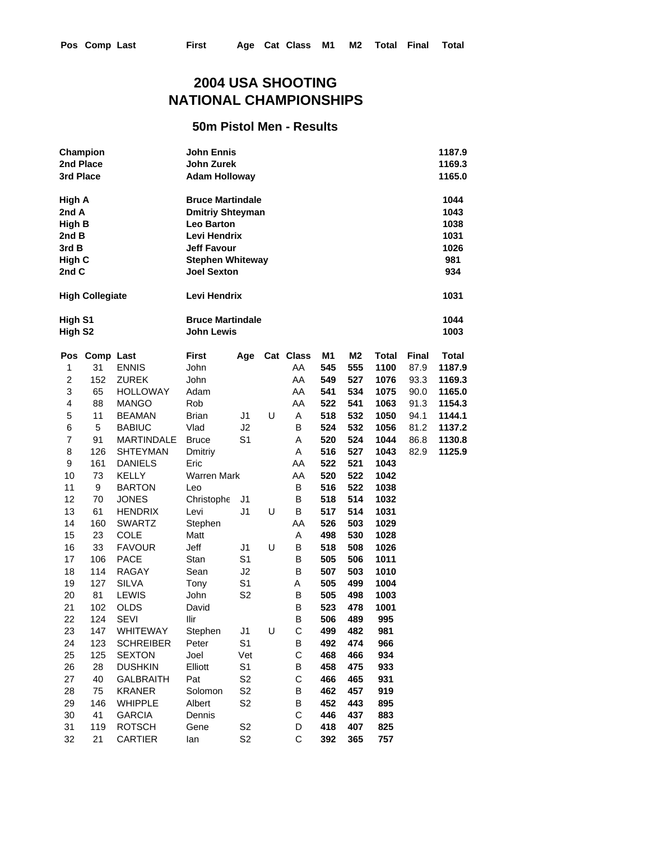## **50m Pistol Men - Results**

| 2nd Place<br>3rd Place                                                | Champion                         |                                                                 | <b>John Ennis</b><br>1187.9<br>John Zurek<br>1169.3<br><b>Adam Holloway</b><br>1165.0                                                                          |                                        |        |                             |                          |                          |                               |                                      |                                                    |
|-----------------------------------------------------------------------|----------------------------------|-----------------------------------------------------------------|----------------------------------------------------------------------------------------------------------------------------------------------------------------|----------------------------------------|--------|-----------------------------|--------------------------|--------------------------|-------------------------------|--------------------------------------|----------------------------------------------------|
| High A<br>2nd A<br><b>High B</b><br>2nd B<br>3rd B<br>High C<br>2nd C |                                  |                                                                 | <b>Bruce Martindale</b><br><b>Dmitriy Shteyman</b><br><b>Leo Barton</b><br>Levi Hendrix<br><b>Jeff Favour</b><br><b>Stephen Whiteway</b><br><b>Joel Sexton</b> |                                        |        |                             |                          |                          |                               |                                      | 1044<br>1043<br>1038<br>1031<br>1026<br>981<br>934 |
|                                                                       | <b>High Collegiate</b>           |                                                                 | Levi Hendrix                                                                                                                                                   |                                        |        |                             |                          |                          |                               |                                      | 1031                                               |
| High S1<br>High S <sub>2</sub>                                        |                                  |                                                                 | <b>Bruce Martindale</b><br><b>John Lewis</b>                                                                                                                   |                                        |        |                             |                          |                          |                               |                                      | 1044<br>1003                                       |
| 1<br>$\overline{c}$<br>3                                              | Pos Comp Last<br>31<br>152<br>65 | <b>ENNIS</b><br><b>ZUREK</b><br><b>HOLLOWAY</b>                 | <b>First</b><br>John<br>John<br>Adam                                                                                                                           | Age                                    |        | Cat Class<br>AA<br>AA<br>AA | M1<br>545<br>549<br>541  | M2<br>555<br>527<br>534  | Total<br>1100<br>1076<br>1075 | <b>Final</b><br>87.9<br>93.3<br>90.0 | <b>Total</b><br>1187.9<br>1169.3<br>1165.0         |
| 4<br>5<br>6                                                           | 88<br>11<br>5                    | <b>MANGO</b><br><b>BEAMAN</b><br><b>BABIUC</b>                  | Rob<br><b>Brian</b><br>Vlad                                                                                                                                    | J1<br>J2                               | U      | AA<br>Α<br>В                | 522<br>518<br>524        | 541<br>532<br>532        | 1063<br>1050<br>1056          | 91.3<br>94.1<br>81.2                 | 1154.3<br>1144.1<br>1137.2                         |
| $\overline{7}$<br>8<br>9                                              | 91<br>126<br>161                 | <b>MARTINDALE</b><br><b>SHTEYMAN</b><br><b>DANIELS</b>          | <b>Bruce</b><br>Dmitriy<br>Eric                                                                                                                                | S <sub>1</sub>                         |        | A<br>A<br>AA                | 520<br>516<br>522        | 524<br>527<br>521        | 1044<br>1043<br>1043          | 86.8<br>82.9                         | 1130.8<br>1125.9                                   |
| 10<br>11<br>12                                                        | 73<br>9<br>70                    | <b>KELLY</b><br><b>BARTON</b><br><b>JONES</b>                   | <b>Warren Mark</b><br>Leo<br>Christophe                                                                                                                        | J1                                     |        | AA<br>B<br>В<br>B           | 520<br>516<br>518        | 522<br>522<br>514        | 1042<br>1038<br>1032          |                                      |                                                    |
| 13<br>14<br>15<br>16                                                  | 61<br>160<br>23<br>33            | <b>HENDRIX</b><br><b>SWARTZ</b><br><b>COLE</b><br><b>FAVOUR</b> | Levi<br>Stephen<br>Matt<br>Jeff                                                                                                                                | J1<br>J1                               | U<br>U | AA<br>Α<br>В                | 517<br>526<br>498<br>518 | 514<br>503<br>530<br>508 | 1031<br>1029<br>1028<br>1026  |                                      |                                                    |
| 17<br>18<br>19                                                        | 106<br>114<br>127                | <b>PACE</b><br><b>RAGAY</b><br><b>SILVA</b>                     | Stan<br>Sean<br>Tony                                                                                                                                           | S <sub>1</sub><br>J2<br>S1             |        | B<br>В<br>Α                 | 505<br>507<br>505        | 506<br>503<br>499        | 1011<br>1010<br>1004          |                                      |                                                    |
| 20<br>21<br>22                                                        | 81<br>102<br>124                 | <b>LEWIS</b><br><b>OLDS</b><br><b>SEVI</b>                      | John<br>David<br>llir                                                                                                                                          | S2                                     |        | B<br>B<br>B                 | 505<br>523<br>506        | 498<br>478<br>489        | 1003<br>1001<br>995           |                                      |                                                    |
| 23<br>24<br>25                                                        | 147<br>123<br>125                | WHITEWAY<br><b>SCHREIBER</b><br><b>SEXTON</b>                   | Stephen<br>Peter<br>Joel                                                                                                                                       | J <sub>1</sub><br>S1<br>Vet            | U      | С<br>В<br>C                 | 499<br>492<br>468        | 482<br>474<br>466        | 981<br>966<br>934             |                                      |                                                    |
| 26<br>27<br>28                                                        | 28<br>40<br>75                   | <b>DUSHKIN</b><br><b>GALBRAITH</b><br><b>KRANER</b>             | Elliott<br>Pat<br>Solomon                                                                                                                                      | S1<br>S <sub>2</sub><br>S <sub>2</sub> |        | В<br>C<br>В                 | 458<br>466<br>462        | 475<br>465<br>457        | 933<br>931<br>919             |                                      |                                                    |
| 29<br>30<br>31                                                        | 146<br>41<br>119                 | WHIPPLE<br><b>GARCIA</b><br><b>ROTSCH</b>                       | Albert<br>Dennis<br>Gene                                                                                                                                       | S <sub>2</sub><br>S <sub>2</sub>       |        | B<br>C<br>D                 | 452<br>446<br>418        | 443<br>437<br>407        | 895<br>883<br>825             |                                      |                                                    |

32 21 CARTIER Ian S2 C **392 365 757**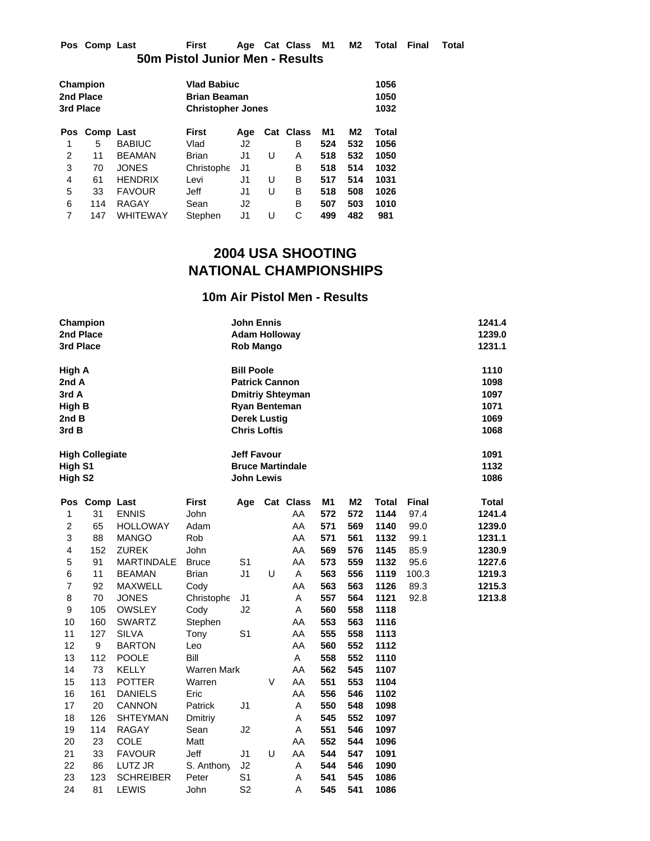| Pos Comp Last | First                           | Age Cat Class M1 M2 Total Final Total |  |  |  |
|---------------|---------------------------------|---------------------------------------|--|--|--|
|               | 50m Pistol Junior Men - Results |                                       |  |  |  |

|     |                                           |              |                |                                           |                          |           |                | 1056<br>1050<br>1032 |
|-----|-------------------------------------------|--------------|----------------|-------------------------------------------|--------------------------|-----------|----------------|----------------------|
|     |                                           | <b>First</b> | Age            |                                           |                          | M1        | M <sub>2</sub> | Total                |
| 5   | <b>BABIUC</b>                             | Vlad         | J2             |                                           | В                        | 524       | 532            | 1056                 |
| 11  | <b>BEAMAN</b>                             | <b>Brian</b> | J1             | U                                         | Α                        | 518       | 532            | 1050                 |
| 70  | <b>JONES</b>                              | Christophe   | J1             |                                           | в                        | 518       | 514            | 1032                 |
| 61  | <b>HENDRIX</b>                            | Levi         | J1             | U                                         | в                        | 517       | 514            | 1031                 |
| 33  | <b>FAVOUR</b>                             | Jeff         | J1             | U                                         | в                        | 518       | 508            | 1026                 |
| 114 | <b>RAGAY</b>                              | Sean         | J <sub>2</sub> |                                           | B                        | 507       | 503            | 1010                 |
| 147 | WHITEWAY                                  | Stephen      | J1             | U                                         | С                        | 499       | 482            | 981                  |
| Pos | Champion<br><b>2nd Place</b><br>3rd Place | Comp Last    |                | <b>Vlad Babiuc</b><br><b>Brian Beaman</b> | <b>Christopher Jones</b> | Cat Class |                |                      |

#### **10m Air Pistol Men - Results**

| Champion<br>2nd Place<br>3rd Place                                 |                        |                   |                    | <b>John Ennis</b><br><b>Adam Holloway</b><br><b>Rob Mango</b>                                                    | 1241.4<br>1239.0<br>1231.1 |                         |                |                |       |              |                                              |
|--------------------------------------------------------------------|------------------------|-------------------|--------------------|------------------------------------------------------------------------------------------------------------------|----------------------------|-------------------------|----------------|----------------|-------|--------------|----------------------------------------------|
| <b>High A</b><br>2nd A<br>3rd A<br><b>High B</b><br>2nd B<br>3rd B |                        |                   |                    | <b>Bill Poole</b><br><b>Patrick Cannon</b><br><b>Ryan Benteman</b><br><b>Derek Lustig</b><br><b>Chris Loftis</b> |                            | <b>Dmitriy Shteyman</b> |                |                |       |              | 1110<br>1098<br>1097<br>1071<br>1069<br>1068 |
| High S1<br>High S <sub>2</sub>                                     | <b>High Collegiate</b> |                   |                    | <b>Jeff Favour</b><br><b>Bruce Martindale</b><br><b>John Lewis</b>                                               |                            |                         |                |                |       |              | 1091<br>1132<br>1086                         |
| Pos                                                                | Comp Last              |                   | <b>First</b>       | Age                                                                                                              |                            | Cat Class               | M <sub>1</sub> | M <sub>2</sub> | Total | <b>Final</b> | <b>Total</b>                                 |
| 1                                                                  | 31                     | <b>ENNIS</b>      | John               |                                                                                                                  |                            | AA                      | 572            | 572            | 1144  | 97.4         | 1241.4                                       |
| $\overline{2}$                                                     | 65                     | <b>HOLLOWAY</b>   | Adam               |                                                                                                                  |                            | AA                      | 571            | 569            | 1140  | 99.0         | 1239.0                                       |
| 3                                                                  | 88                     | <b>MANGO</b>      | Rob                |                                                                                                                  |                            | AA                      | 571            | 561            | 1132  | 99.1         | 1231.1                                       |
| $\overline{\mathbf{4}}$                                            | 152                    | <b>ZUREK</b>      | John               |                                                                                                                  |                            | AA                      | 569            | 576            | 1145  | 85.9         | 1230.9                                       |
| 5                                                                  | 91                     | <b>MARTINDALE</b> | <b>Bruce</b>       | S <sub>1</sub>                                                                                                   |                            | AA                      | 573            | 559            | 1132  | 95.6         | 1227.6                                       |
| $\,6$                                                              | 11                     | <b>BEAMAN</b>     | Brian              | J <sub>1</sub>                                                                                                   | U                          | A                       | 563            | 556            | 1119  | 100.3        | 1219.3                                       |
| $\overline{7}$                                                     | 92                     | <b>MAXWELL</b>    | Cody               |                                                                                                                  |                            | AA                      | 563            | 563            | 1126  | 89.3         | 1215.3                                       |
| 8                                                                  | 70                     | <b>JONES</b>      | Christophe         | J1                                                                                                               |                            | A                       | 557            | 564            | 1121  | 92.8         | 1213.8                                       |
| 9                                                                  | 105                    | <b>OWSLEY</b>     | Cody               | J2                                                                                                               |                            | A                       | 560            | 558            | 1118  |              |                                              |
| 10                                                                 | 160                    | <b>SWARTZ</b>     | Stephen            |                                                                                                                  |                            | AA                      | 553            | 563            | 1116  |              |                                              |
| 11                                                                 | 127                    | <b>SILVA</b>      | Tony               | S <sub>1</sub>                                                                                                   |                            | AA                      | 555            | 558            | 1113  |              |                                              |
| 12                                                                 | 9                      | <b>BARTON</b>     | Leo                |                                                                                                                  |                            | AA                      | 560            | 552            | 1112  |              |                                              |
| 13                                                                 | 112                    | <b>POOLE</b>      | Bill               |                                                                                                                  |                            | A                       | 558            | 552            | 1110  |              |                                              |
| 14                                                                 | 73                     | <b>KELLY</b>      | <b>Warren Mark</b> |                                                                                                                  |                            | AA                      | 562            | 545            | 1107  |              |                                              |
| 15                                                                 | 113                    | <b>POTTER</b>     | Warren             |                                                                                                                  | $\vee$                     | AA                      | 551            | 553            | 1104  |              |                                              |
| 16                                                                 | 161                    | <b>DANIELS</b>    | Eric               |                                                                                                                  |                            | AA                      | 556            | 546            | 1102  |              |                                              |
| 17                                                                 | 20                     | <b>CANNON</b>     | Patrick            | J <sub>1</sub>                                                                                                   |                            | Α                       | 550            | 548            | 1098  |              |                                              |
| 18                                                                 | 126                    | <b>SHTEYMAN</b>   | Dmitriy            |                                                                                                                  |                            | A                       | 545            | 552            | 1097  |              |                                              |
| 19                                                                 | 114                    | <b>RAGAY</b>      | Sean               | J2                                                                                                               |                            | A                       | 551            | 546            | 1097  |              |                                              |
| 20                                                                 | 23                     | <b>COLE</b>       | Matt               |                                                                                                                  |                            | AA                      | 552            | 544            | 1096  |              |                                              |
| 21                                                                 | 33                     | <b>FAVOUR</b>     | Jeff               | J1                                                                                                               | U                          | AA                      | 544            | 547            | 1091  |              |                                              |
| 22                                                                 | 86                     | LUTZ JR           | S. Anthony         | J2                                                                                                               |                            | Α                       | 544            | 546            | 1090  |              |                                              |
| 23                                                                 | 123                    | <b>SCHREIBER</b>  | Peter              | S <sub>1</sub>                                                                                                   |                            | A                       | 541            | 545            | 1086  |              |                                              |

24 81 LEWIS John S2 A **545 541 1086**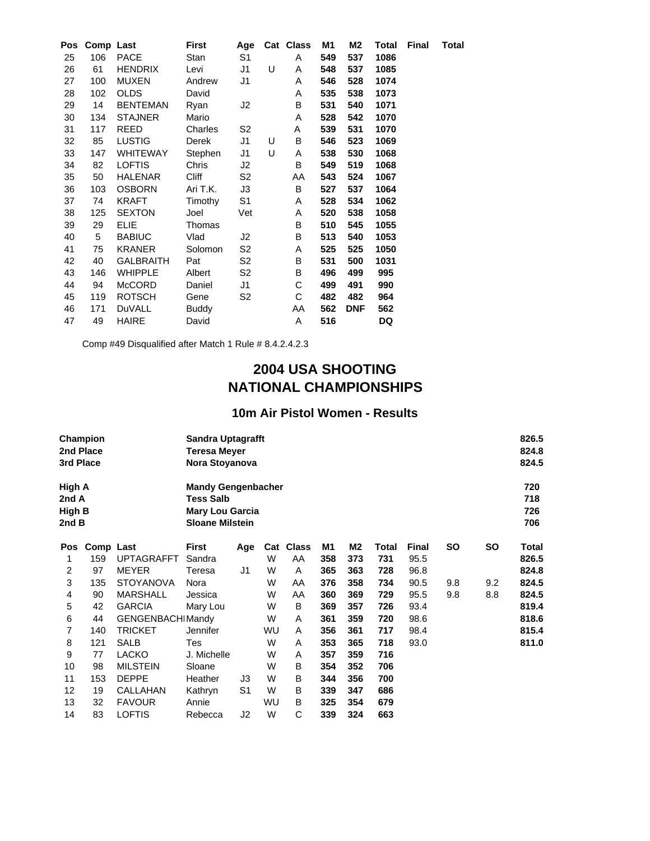| <b>Pos</b> |     | Comp Last        | First        | Age            |   | Cat Class | M1  | M2         | Total | Final | <b>Total</b> |
|------------|-----|------------------|--------------|----------------|---|-----------|-----|------------|-------|-------|--------------|
| 25         | 106 | PACE             | Stan         | S <sub>1</sub> |   | A         | 549 | 537        | 1086  |       |              |
| 26         | 61  | <b>HENDRIX</b>   | Levi         | J1             | U | A         | 548 | 537        | 1085  |       |              |
| 27         | 100 | <b>MUXEN</b>     | Andrew       | J1             |   | A         | 546 | 528        | 1074  |       |              |
| 28         | 102 | <b>OLDS</b>      | David        |                |   | A         | 535 | 538        | 1073  |       |              |
| 29         | 14  | <b>BENTEMAN</b>  | Ryan         | J2             |   | В         | 531 | 540        | 1071  |       |              |
| 30         | 134 | <b>STAJNER</b>   | Mario        |                |   | Α         | 528 | 542        | 1070  |       |              |
| 31         | 117 | REED             | Charles      | S <sub>2</sub> |   | Α         | 539 | 531        | 1070  |       |              |
| 32         | 85  | <b>LUSTIG</b>    | Derek        | J1             | U | В         | 546 | 523        | 1069  |       |              |
| 33         | 147 | <b>WHITEWAY</b>  | Stephen      | J1             | U | Α         | 538 | 530        | 1068  |       |              |
| 34         | 82  | <b>LOFTIS</b>    | Chris        | J2             |   | В         | 549 | 519        | 1068  |       |              |
| 35         | 50  | HALENAR          | Cliff        | S2             |   | AA        | 543 | 524        | 1067  |       |              |
| 36         | 103 | <b>OSBORN</b>    | Ari T.K.     | J3             |   | В         | 527 | 537        | 1064  |       |              |
| 37         | 74  | KRAFT            | Timothy      | S <sub>1</sub> |   | Α         | 528 | 534        | 1062  |       |              |
| 38         | 125 | <b>SEXTON</b>    | Joel         | Vet            |   | Α         | 520 | 538        | 1058  |       |              |
| 39         | 29  | <b>ELIE</b>      | Thomas       |                |   | B         | 510 | 545        | 1055  |       |              |
| 40         | 5   | <b>BABIUC</b>    | Vlad         | J2             |   | B         | 513 | 540        | 1053  |       |              |
| 41         | 75  | <b>KRANER</b>    | Solomon      | S <sub>2</sub> |   | Α         | 525 | 525        | 1050  |       |              |
| 42         | 40  | <b>GALBRAITH</b> | Pat          | S <sub>2</sub> |   | В         | 531 | 500        | 1031  |       |              |
| 43         | 146 | <b>WHIPPLE</b>   | Albert       | S <sub>2</sub> |   | B         | 496 | 499        | 995   |       |              |
| 44         | 94  | <b>McCORD</b>    | Daniel       | J1             |   | С         | 499 | 491        | 990   |       |              |
| 45         | 119 | <b>ROTSCH</b>    | Gene         | S <sub>2</sub> |   | С         | 482 | 482        | 964   |       |              |
| 46         | 171 | DuVALL           | <b>Buddy</b> |                |   | AA        | 562 | <b>DNF</b> | 562   |       |              |
| 47         | 49  | <b>HAIRE</b>     | David        |                |   | Α         | 516 |            | DQ    |       |              |

Comp #49 Disqualified after Match 1 Rule # 8.4.2.4.2.3

# **2004 USA SHOOTING NATIONAL CHAMPIONSHIPS**

#### **10m Air Pistol Women - Results**

| 3rd Place                          | Champion<br>2nd Place |                         | 826.5<br><b>Sandra Uptagrafft</b><br>824.8<br>Teresa Meyer<br>824.5<br>Nora Stoyanova             |                |           |              |     |     |       |              |           |           |                          |
|------------------------------------|-----------------------|-------------------------|---------------------------------------------------------------------------------------------------|----------------|-----------|--------------|-----|-----|-------|--------------|-----------|-----------|--------------------------|
| High A<br>2nd A<br>High B<br>2nd B |                       |                         | <b>Mandy Gengenbacher</b><br><b>Tess Salb</b><br><b>Mary Lou Garcia</b><br><b>Sloane Milstein</b> |                |           |              |     |     |       |              |           |           | 720<br>718<br>726<br>706 |
| <b>Pos</b>                         | Comp Last             |                         | First                                                                                             | Age            | Cat       | <b>Class</b> | M1  | M2  | Total | <b>Final</b> | <b>SO</b> | <b>SO</b> | Total                    |
| 1                                  | 159                   | <b>UPTAGRAFFT</b>       | Sandra                                                                                            |                | W         | AA           | 358 | 373 | 731   | 95.5         |           |           | 826.5                    |
| 2                                  | 97                    | <b>MEYER</b>            | Teresa                                                                                            | J1             | W         | A            | 365 | 363 | 728   | 96.8         |           |           | 824.8                    |
| 3                                  | 135                   | <b>STOYANOVA</b>        | Nora                                                                                              |                | W         | AA           | 376 | 358 | 734   | 90.5         | 9.8       | 9.2       | 824.5                    |
| 4                                  | 90                    | <b>MARSHALL</b>         | Jessica                                                                                           |                | W         | AA           | 360 | 369 | 729   | 95.5         | 9.8       | 8.8       | 824.5                    |
| 5                                  | 42                    | <b>GARCIA</b>           | Mary Lou                                                                                          |                | W         | B            | 369 | 357 | 726   | 93.4         |           |           | 819.4                    |
| 6                                  | 44                    | <b>GENGENBACHIMandy</b> |                                                                                                   |                | W         | A            | 361 | 359 | 720   | 98.6         |           |           | 818.6                    |
| 7                                  | 140                   | <b>TRICKET</b>          | Jennifer                                                                                          |                | WU        | A            | 356 | 361 | 717   | 98.4         |           |           | 815.4                    |
| 8                                  | 121                   | <b>SALB</b>             | Tes                                                                                               |                | W         | A            | 353 | 365 | 718   | 93.0         |           |           | 811.0                    |
| 9                                  | 77                    | <b>LACKO</b>            | J. Michelle                                                                                       |                | W         | A            | 357 | 359 | 716   |              |           |           |                          |
| 10                                 | 98                    | <b>MILSTEIN</b>         | Sloane                                                                                            |                | W         | В            | 354 | 352 | 706   |              |           |           |                          |
| 11                                 | 153                   | <b>DEPPE</b>            | Heather                                                                                           | JЗ             | W         | B            | 344 | 356 | 700   |              |           |           |                          |
| 12                                 | 19                    | CALLAHAN                | Kathryn                                                                                           | S <sub>1</sub> | W         | В            | 339 | 347 | 686   |              |           |           |                          |
| 13                                 | 32                    | <b>FAVOUR</b>           | Annie                                                                                             |                | <b>WU</b> | B            | 325 | 354 | 679   |              |           |           |                          |
| 14                                 | 83                    | LOFTIS                  | Rebecca                                                                                           | J2             | W         | С            | 339 | 324 | 663   |              |           |           |                          |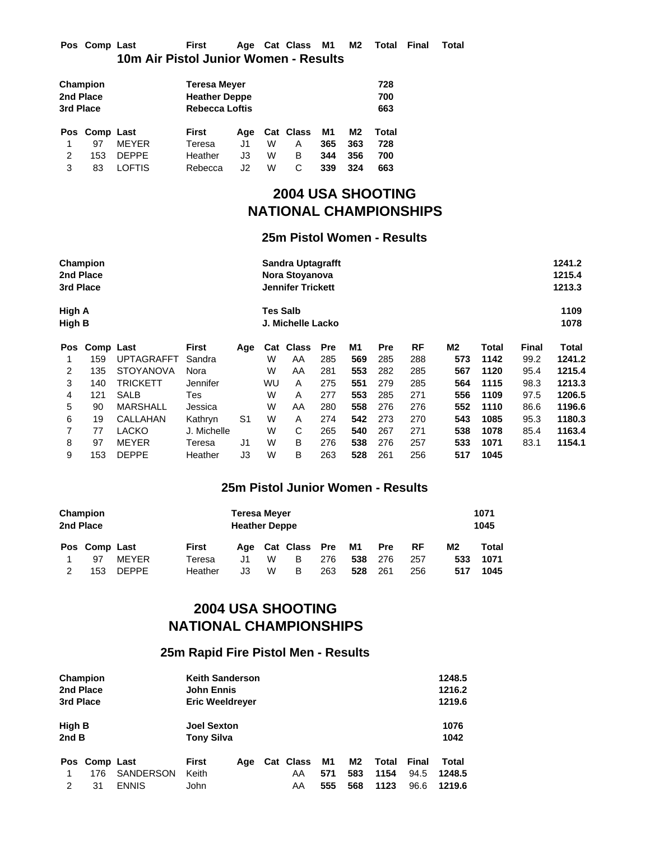#### **Pos Comp Last First Age Cat Class M1 M2 Total Final Total 10m Air Pistol Junior Women - Results**

|           | Champion      |              |                      | <b>Teresa Meyer</b>   |   |           |     |     |       |  |  |  |
|-----------|---------------|--------------|----------------------|-----------------------|---|-----------|-----|-----|-------|--|--|--|
|           | 2nd Place     |              | <b>Heather Deppe</b> |                       |   |           |     |     | 700   |  |  |  |
| 3rd Place |               |              |                      | <b>Rebecca Loftis</b> |   |           |     |     |       |  |  |  |
|           | Pos Comp Last |              | First                | Aae                   |   | Cat Class | M1  | M2  | Total |  |  |  |
|           | 97            | <b>MFYFR</b> | Teresa               | J1                    | W | А         | 365 | 363 | 728   |  |  |  |
|           |               |              |                      |                       |   |           |     |     |       |  |  |  |
| 2         | 153           | <b>DEPPE</b> | Heather              | JЗ                    | W | в         | 344 | 356 | 700   |  |  |  |

# **2004 USA SHOOTING NATIONAL CHAMPIONSHIPS**

#### **25m Pistol Women - Results**

| 3rd Place        | Champion<br>2nd Place |                   |              | 1241.2<br><b>Sandra Uptagrafft</b><br>1215.4<br>Nora Stoyanova<br>1213.3<br><b>Jennifer Trickett</b> |                 |                   |            |     |            |     |     |       |              |              |
|------------------|-----------------------|-------------------|--------------|------------------------------------------------------------------------------------------------------|-----------------|-------------------|------------|-----|------------|-----|-----|-------|--------------|--------------|
| High A<br>High B |                       |                   |              |                                                                                                      | <b>Tes Salb</b> | J. Michelle Lacko |            |     |            |     |     |       |              | 1109<br>1078 |
| <b>Pos</b>       | Comp Last             |                   | <b>First</b> | Age                                                                                                  | Cat             | <b>Class</b>      | <b>Pre</b> | M1  | <b>Pre</b> | RF  | M2  | Total | <b>Final</b> | Total        |
|                  | 159                   | <b>UPTAGRAFFT</b> | Sandra       |                                                                                                      | W               | AA                | 285        | 569 | 285        | 288 | 573 | 1142  | 99.2         | 1241.2       |
| 2                | 135                   | <b>STOYANOVA</b>  | Nora         |                                                                                                      | W               | AA                | 281        | 553 | 282        | 285 | 567 | 1120  | 95.4         | 1215.4       |
| 3                | 140                   | <b>TRICKETT</b>   | Jennifer     |                                                                                                      | WU              | A                 | 275        | 551 | 279        | 285 | 564 | 1115  | 98.3         | 1213.3       |
| 4                | 121                   | SALB              | Tes          |                                                                                                      | W               | A                 | 277        | 553 | 285        | 271 | 556 | 1109  | 97.5         | 1206.5       |
| 5                | 90                    | <b>MARSHALL</b>   | Jessica      |                                                                                                      | W               | AA                | 280        | 558 | 276        | 276 | 552 | 1110  | 86.6         | 1196.6       |
| 6                | 19                    | CALLAHAN          | Kathryn      | S1                                                                                                   | W               | A                 | 274        | 542 | 273        | 270 | 543 | 1085  | 95.3         | 1180.3       |
| 7                | 77                    | <b>LACKO</b>      | J. Michelle  |                                                                                                      | W               | С                 | 265        | 540 | 267        | 271 | 538 | 1078  | 85.4         | 1163.4       |
| 8                | 97                    | <b>MEYER</b>      | Teresa       | J1                                                                                                   | W               | B                 | 276        | 538 | 276        | 257 | 533 | 1071  | 83.1         | 1154.1       |
| 9                | 153                   | <b>DEPPE</b>      | Heather      | J3                                                                                                   | W               | B                 | 263        | 528 | 261        | 256 | 517 | 1045  |              |              |

### **25m Pistol Junior Women - Results**

|   | Champion<br>2nd Place |              |         | <b>Teresa Meyer</b><br><b>Heather Deppe</b> |   |                      |     |     |            |           | 1071<br>1045   |       |
|---|-----------------------|--------------|---------|---------------------------------------------|---|----------------------|-----|-----|------------|-----------|----------------|-------|
|   | Pos Comp Last         |              | First   | Aae                                         |   | <b>Cat Class Pre</b> |     | M1  | <b>Pre</b> | <b>RF</b> | M <sub>2</sub> | Total |
|   | 97                    | <b>MFYFR</b> | Teresa  | J1.                                         | W | в                    | 276 | 538 | 276        | 257       | 533            | 1071  |
| 2 | 153                   | <b>DEPPE</b> | Heather | JЗ                                          | W | в                    | 263 | 528 | 261        | 256       | 517            | 1045  |

# **2004 USA SHOOTING NATIONAL CHAMPIONSHIPS**

### **25m Rapid Fire Pistol Men - Results**

|               | Champion      |                  | <b>Keith Sanderson</b> |                        |  |           |     |     |       |       |        |  |
|---------------|---------------|------------------|------------------------|------------------------|--|-----------|-----|-----|-------|-------|--------|--|
| 2nd Place     |               |                  | <b>John Ennis</b>      |                        |  |           |     |     |       |       | 1216.2 |  |
| 3rd Place     |               |                  |                        | <b>Eric Weeldreyer</b> |  |           |     |     |       |       | 1219.6 |  |
| <b>High B</b> |               |                  | <b>Joel Sexton</b>     |                        |  |           |     |     |       |       | 1076   |  |
| 2ndB          |               |                  | <b>Tony Silva</b>      |                        |  |           |     |     |       |       | 1042   |  |
|               | Pos Comp Last |                  | <b>First</b>           | Aae                    |  | Cat Class | M1  | M2  | Total | Final | Total  |  |
|               | 176           | <b>SANDERSON</b> | Keith                  |                        |  | AA        | 571 | 583 | 1154  | 94.5  | 1248.5 |  |
| 2             | 31            | <b>ENNIS</b>     | John                   |                        |  | AA        | 555 | 568 | 1123  | 96.6  | 1219.6 |  |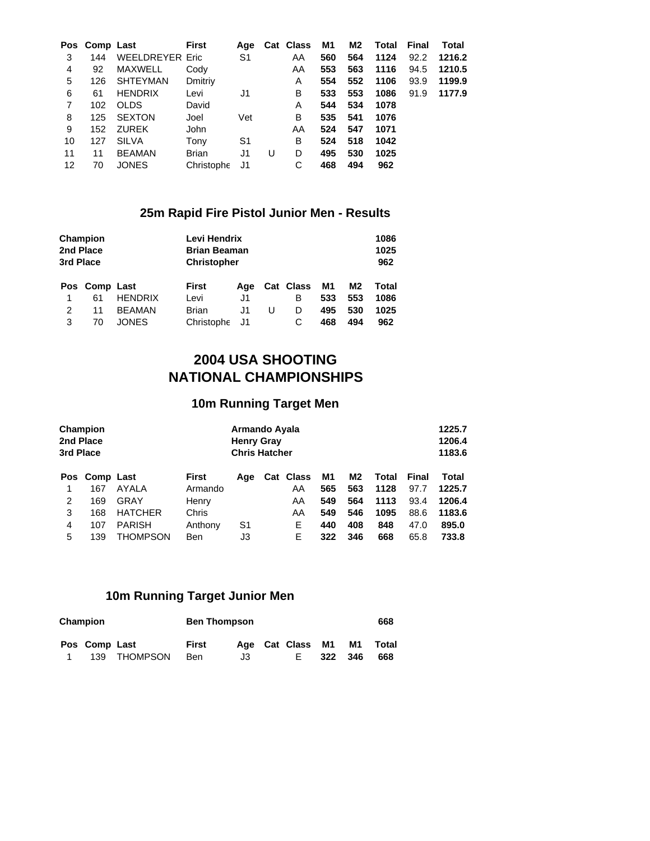|    | Pos Comp Last |                        | <b>First</b> | Aqe |   | Cat Class | M1  | M2  | Total | Final | Total  |
|----|---------------|------------------------|--------------|-----|---|-----------|-----|-----|-------|-------|--------|
| 3  | 144           | <b>WEELDREYER Eric</b> |              | S1  |   | AA        | 560 | 564 | 1124  | 92.2  | 1216.2 |
| 4  | 92            | <b>MAXWELL</b>         | Cody         |     |   | AA        | 553 | 563 | 1116  | 94.5  | 1210.5 |
| 5  | 126           | <b>SHTEYMAN</b>        | Dmitriy      |     |   | A         | 554 | 552 | 1106  | 93.9  | 1199.9 |
| 6  | 61            | <b>HENDRIX</b>         | Levi         | J1  |   | B         | 533 | 553 | 1086  | 91.9  | 1177.9 |
| 7  | 102           | <b>OLDS</b>            | David        |     |   | Α         | 544 | 534 | 1078  |       |        |
| 8  | 125           | <b>SEXTON</b>          | Joel         | Vet |   | В         | 535 | 541 | 1076  |       |        |
| 9  | 152           | <b>ZUREK</b>           | John         |     |   | AA        | 524 | 547 | 1071  |       |        |
| 10 | 127           | <b>SILVA</b>           | Tony         | S1  |   | В         | 524 | 518 | 1042  |       |        |
| 11 | 11            | <b>BEAMAN</b>          | <b>Brian</b> | J1  | U | D         | 495 | 530 | 1025  |       |        |
| 12 | 70            | <b>JONES</b>           | Christophe   | J1  |   | С         | 468 | 494 | 962   |       |        |

# **25m Rapid Fire Pistol Junior Men - Results**

| 3rd Place | Champion<br>2nd Place |                |              | Levi Hendrix<br><b>Brian Beaman</b><br><b>Christopher</b> |   |           |     |     |       |  |
|-----------|-----------------------|----------------|--------------|-----------------------------------------------------------|---|-----------|-----|-----|-------|--|
|           | Pos Comp Last         |                | <b>First</b> | Aae                                                       |   | Cat Class | M1  | M2  | Total |  |
| 1         | 61                    | <b>HENDRIX</b> | Levi         | J1                                                        |   | в         | 533 | 553 | 1086  |  |
| 2         | 11                    | <b>BEAMAN</b>  | <b>Brian</b> | J1                                                        | U | D         | 495 | 530 | 1025  |  |
| 3         | 70                    | <b>JONES</b>   | Christophe   | J1                                                        |   | С         | 468 | 494 | 962   |  |

# **2004 USA SHOOTING NATIONAL CHAMPIONSHIPS**

## **10m Running Target Men**

| 2nd Place<br>3rd Place | Champion      |                |              | Armando Ayala<br><b>Henry Gray</b><br><b>Chris Hatcher</b> |  |           | 1225.7<br>1206.4<br>1183.6 |     |       |       |        |
|------------------------|---------------|----------------|--------------|------------------------------------------------------------|--|-----------|----------------------------|-----|-------|-------|--------|
|                        | Pos Comp Last |                | <b>First</b> | Age                                                        |  | Cat Class | M1                         | M2  | Total | Final | Total  |
|                        | 167           | AYALA          | Armando      |                                                            |  | AA        | 565                        | 563 | 1128  | 97.7  | 1225.7 |
| 2                      | 169           | GRAY           | Henry        |                                                            |  | AA        | 549                        | 564 | 1113  | 93.4  | 1206.4 |
| 3                      | 168           | <b>HATCHER</b> | Chris        |                                                            |  | AA        | 549                        | 546 | 1095  | 88.6  | 1183.6 |
| 4                      | 107           | <b>PARISH</b>  | Anthony      | S1                                                         |  | Е         | 440                        | 408 | 848   | 47.0  | 895.0  |
| 5                      | 139           | THOMPSON       | <b>Ben</b>   | JЗ                                                         |  | Е         | 322                        | 346 | 668   | 65.8  | 733.8  |

### **10m Running Target Junior Men**

| Champion      |              | <b>Ben Thompson</b> |    |  |                  |      |      | 668   |
|---------------|--------------|---------------------|----|--|------------------|------|------|-------|
| Pos Comp Last |              | First               |    |  | Age Cat Class M1 |      | M1   | Total |
|               | 139 THOMPSON | Ben                 | JЗ |  | Е.               | -322 | -346 | 668   |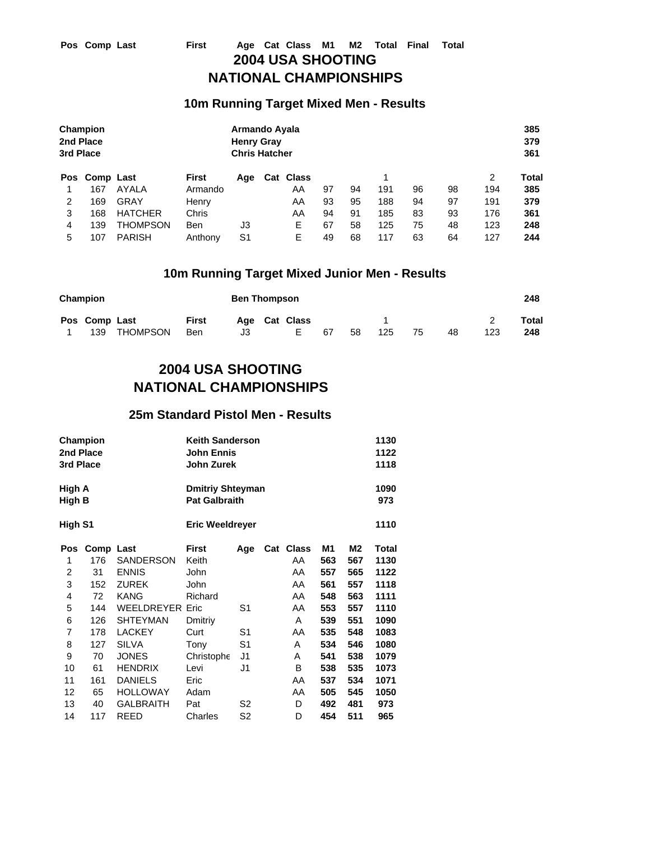### **10m Running Target Mixed Men - Results**

|   | Champion<br>2nd Place<br>3rd Place<br>Pos Comp Last |                |              | Armando Ayala<br><b>Henry Gray</b><br><b>Chris Hatcher</b> |           |    |    |     |    |    |     | 385<br>379<br>361 |
|---|-----------------------------------------------------|----------------|--------------|------------------------------------------------------------|-----------|----|----|-----|----|----|-----|-------------------|
|   |                                                     |                | <b>First</b> | Age                                                        | Cat Class |    |    |     |    |    | 2   | Total             |
|   | 167                                                 | AYALA          | Armando      |                                                            | AA        | 97 | 94 | 191 | 96 | 98 | 194 | 385               |
| 2 | 169                                                 | GRAY           | Henry        |                                                            | AA        | 93 | 95 | 188 | 94 | 97 | 191 | 379               |
| 3 | 168                                                 | <b>HATCHER</b> | Chris        |                                                            | AA        | 94 | 91 | 185 | 83 | 93 | 176 | 361               |
| 4 | 139                                                 | THOMPSON       | Ben          | JЗ                                                         | Е         | 67 | 58 | 125 | 75 | 48 | 123 | 248               |
| 5 | 107                                                 | <b>PARISH</b>  | Anthony      | S <sub>1</sub>                                             | Е         | 49 | 68 | 117 | 63 | 64 | 127 | 244               |

### **10m Running Target Mixed Junior Men - Results**

| Champion |               |              | <b>Ben Thompson</b> |     |  |               |    |    |     | 248 |    |     |       |
|----------|---------------|--------------|---------------------|-----|--|---------------|----|----|-----|-----|----|-----|-------|
|          | Pos Comp Last |              | <b>First</b>        |     |  | Age Cat Class |    |    |     |     |    |     | Total |
|          |               | 139 THOMPSON | Ben                 | J3. |  | E.            | 67 | 58 | 125 | 75  | 48 | 123 | 248   |

# **2004 USA SHOOTING NATIONAL CHAMPIONSHIPS**

#### **25m Standard Pistol Men - Results**

| 2nd Place<br>3rd Place | Champion  |                        | <b>Keith Sanderson</b><br><b>John Ennis</b><br>John Zurek |                | 1130<br>1122<br>1118 |     |     |             |
|------------------------|-----------|------------------------|-----------------------------------------------------------|----------------|----------------------|-----|-----|-------------|
| High A<br>High B       |           |                        | <b>Dmitriy Shteyman</b><br><b>Pat Galbraith</b>           |                |                      |     |     | 1090<br>973 |
| High S1                |           |                        | <b>Eric Weeldreyer</b>                                    |                |                      |     |     | 1110        |
| Pos                    | Comp Last |                        | <b>First</b>                                              | Age            | Cat Class            | M1  | M2  | Total       |
| 1                      | 176       | SANDERSON              | Keith                                                     |                | AA                   | 563 | 567 | 1130        |
| 2                      | 31        | <b>ENNIS</b>           | John                                                      |                | AA                   | 557 | 565 | 1122        |
| 3                      | 152       | <b>ZUREK</b>           | John                                                      |                | AA                   | 561 | 557 | 1118        |
| 4                      | 72        | KANG                   | Richard                                                   |                | AA                   | 548 | 563 | 1111        |
| 5                      | 144       | <b>WEELDREYER Eric</b> |                                                           | S1             | AA                   | 553 | 557 | 1110        |
| 6                      | 126       | <b>SHTEYMAN</b>        | Dmitriy                                                   |                | A                    | 539 | 551 | 1090        |
| 7                      | 178       | <b>LACKEY</b>          | Curt                                                      | S1             | AA                   | 535 | 548 | 1083        |
| 8                      | 127       | <b>SILVA</b>           | Tony                                                      | S <sub>1</sub> | Α                    | 534 | 546 | 1080        |
| 9                      | 70        | <b>JONES</b>           | Christophe                                                | J1             | A                    | 541 | 538 | 1079        |
| 10                     | 61        | <b>HENDRIX</b>         | Levi                                                      | J1             | B                    | 538 | 535 | 1073        |
| 11                     | 161       | <b>DANIELS</b>         | Eric                                                      |                | AA                   | 537 | 534 | 1071        |
| 12                     | 65        | <b>HOLLOWAY</b>        | Adam                                                      |                | AA                   | 505 | 545 | 1050        |
| 13                     | 40        | <b>GALBRAITH</b>       | Pat                                                       | S2             | D                    | 492 | 481 | 973         |
| 14                     | 117       | <b>REED</b>            | Charles                                                   | S2             | D                    | 454 | 511 | 965         |